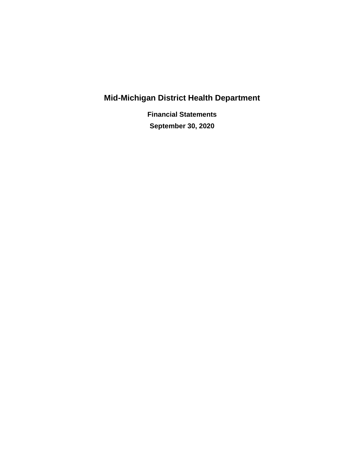# **Mid-Michigan District Health Department**

**Financial Statements September 30, 2020**

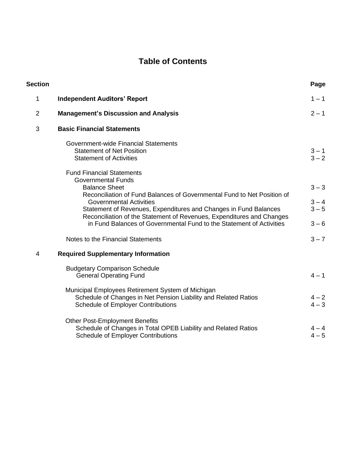# **Table of Contents**

| <b>Section</b> |                                                                                                                                                                                                                                                        | Page               |
|----------------|--------------------------------------------------------------------------------------------------------------------------------------------------------------------------------------------------------------------------------------------------------|--------------------|
| 1              | <b>Independent Auditors' Report</b>                                                                                                                                                                                                                    | $1 - 1$            |
| $\overline{2}$ | <b>Management's Discussion and Analysis</b>                                                                                                                                                                                                            | $2 - 1$            |
| 3              | <b>Basic Financial Statements</b>                                                                                                                                                                                                                      |                    |
|                | Government-wide Financial Statements<br><b>Statement of Net Position</b><br><b>Statement of Activities</b>                                                                                                                                             | $3 - 1$<br>$3 - 2$ |
|                | <b>Fund Financial Statements</b><br><b>Governmental Funds</b><br><b>Balance Sheet</b>                                                                                                                                                                  | $3 - 3$            |
|                | Reconciliation of Fund Balances of Governmental Fund to Net Position of<br><b>Governmental Activities</b><br>Statement of Revenues, Expenditures and Changes in Fund Balances<br>Reconciliation of the Statement of Revenues, Expenditures and Changes | $3 - 4$<br>$3 - 5$ |
|                | in Fund Balances of Governmental Fund to the Statement of Activities                                                                                                                                                                                   | $3 - 6$            |
|                | Notes to the Financial Statements                                                                                                                                                                                                                      | $3 - 7$            |
| 4              | <b>Required Supplementary Information</b>                                                                                                                                                                                                              |                    |
|                | <b>Budgetary Comparison Schedule</b><br><b>General Operating Fund</b>                                                                                                                                                                                  | $4 - 1$            |
|                | Municipal Employees Retirement System of Michigan<br>Schedule of Changes in Net Pension Liability and Related Ratios<br><b>Schedule of Employer Contributions</b>                                                                                      | $4 - 2$<br>$4 - 3$ |
|                | <b>Other Post-Employment Benefits</b><br>Schedule of Changes in Total OPEB Liability and Related Ratios<br><b>Schedule of Employer Contributions</b>                                                                                                   | $4 - 4$<br>$4 - 5$ |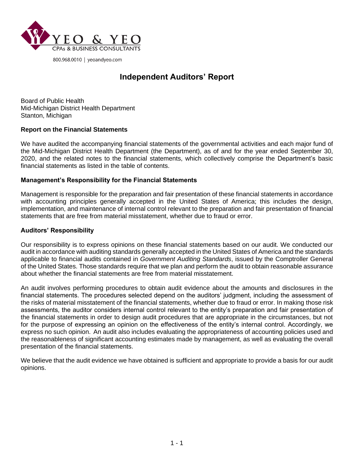

800.968.0010 | yeoandyeo.com

# **Independent Auditors' Report**

Board of Public Health Mid-Michigan District Health Department Stanton, Michigan

#### **Report on the Financial Statements**

We have audited the accompanying financial statements of the governmental activities and each major fund of the Mid-Michigan District Health Department (the Department), as of and for the year ended September 30, 2020, and the related notes to the financial statements, which collectively comprise the Department's basic financial statements as listed in the table of contents.

#### **Management's Responsibility for the Financial Statements**

Management is responsible for the preparation and fair presentation of these financial statements in accordance with accounting principles generally accepted in the United States of America; this includes the design, implementation, and maintenance of internal control relevant to the preparation and fair presentation of financial statements that are free from material misstatement, whether due to fraud or error.

#### **Auditors' Responsibility**

Our responsibility is to express opinions on these financial statements based on our audit. We conducted our audit in accordance with auditing standards generally accepted in the United States of America and the standards applicable to financial audits contained in *Government Auditing Standards*, issued by the Comptroller General of the United States. Those standards require that we plan and perform the audit to obtain reasonable assurance about whether the financial statements are free from material misstatement.

An audit involves performing procedures to obtain audit evidence about the amounts and disclosures in the financial statements. The procedures selected depend on the auditors' judgment, including the assessment of the risks of material misstatement of the financial statements, whether due to fraud or error. In making those risk assessments, the auditor considers internal control relevant to the entity's preparation and fair presentation of the financial statements in order to design audit procedures that are appropriate in the circumstances, but not for the purpose of expressing an opinion on the effectiveness of the entity's internal control. Accordingly, we express no such opinion. An audit also includes evaluating the appropriateness of accounting policies used and the reasonableness of significant accounting estimates made by management, as well as evaluating the overall presentation of the financial statements.

We believe that the audit evidence we have obtained is sufficient and appropriate to provide a basis for our audit opinions.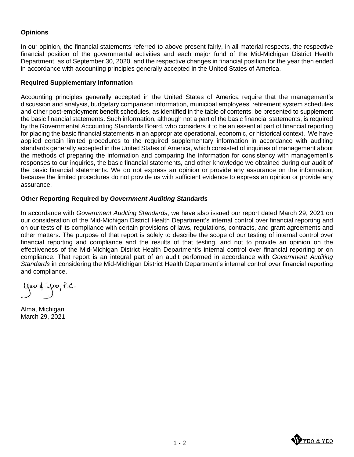## **Opinions**

In our opinion, the financial statements referred to above present fairly, in all material respects, the respective financial position of the governmental activities and each major fund of the Mid-Michigan District Health Department, as of September 30, 2020, and the respective changes in financial position for the year then ended in accordance with accounting principles generally accepted in the United States of America.

## **Required Supplementary Information**

Accounting principles generally accepted in the United States of America require that the management's discussion and analysis, budgetary comparison information, municipal employees' retirement system schedules and other post-employment benefit schedules, as identified in the table of contents, be presented to supplement the basic financial statements. Such information, although not a part of the basic financial statements, is required by the Governmental Accounting Standards Board, who considers it to be an essential part of financial reporting for placing the basic financial statements in an appropriate operational, economic, or historical context. We have applied certain limited procedures to the required supplementary information in accordance with auditing standards generally accepted in the United States of America, which consisted of inquiries of management about the methods of preparing the information and comparing the information for consistency with management's responses to our inquiries, the basic financial statements, and other knowledge we obtained during our audit of the basic financial statements. We do not express an opinion or provide any assurance on the information, because the limited procedures do not provide us with sufficient evidence to express an opinion or provide any assurance.

## **Other Reporting Required by** *Government Auditing Standards*

In accordance with *Government Auditing Standards*, we have also issued our report dated March 29, 2021 on our consideration of the Mid-Michigan District Health Department's internal control over financial reporting and on our tests of its compliance with certain provisions of laws, regulations, contracts, and grant agreements and other matters. The purpose of that report is solely to describe the scope of our testing of internal control over financial reporting and compliance and the results of that testing, and not to provide an opinion on the effectiveness of the Mid-Michigan District Health Department's internal control over financial reporting or on compliance. That report is an integral part of an audit performed in accordance with *Government Auditing Standards* in considering the Mid-Michigan District Health Department's internal control over financial reporting and compliance.

Yeo & yeo, P.C.

Alma, Michigan March 29, 2021

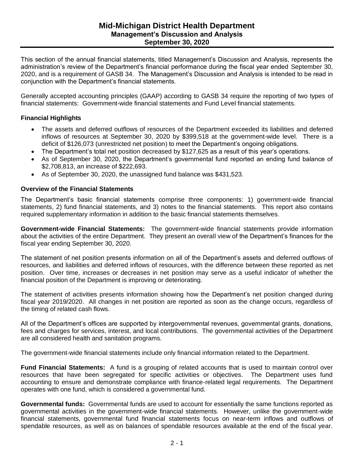This section of the annual financial statements, titled Management's Discussion and Analysis, represents the administration's review of the Department's financial performance during the fiscal year ended September 30, 2020, and is a requirement of GASB 34. The Management's Discussion and Analysis is intended to be read in conjunction with the Department's financial statements.

Generally accepted accounting principles (GAAP) according to GASB 34 require the reporting of two types of financial statements: Government-wide financial statements and Fund Level financial statements.

## **Financial Highlights**

- The assets and deferred outflows of resources of the Department exceeded its liabilities and deferred inflows of resources at September 30, 2020 by \$399,518 at the government-wide level. There is a deficit of \$126,073 (unrestricted net position) to meet the Department's ongoing obligations.
- The Department's total net position decreased by \$127,625 as a result of this year's operations.
- As of September 30, 2020, the Department's governmental fund reported an ending fund balance of \$2,708,813, an increase of \$222,693.
- As of September 30, 2020, the unassigned fund balance was \$431,523.

### **Overview of the Financial Statements**

The Department's basic financial statements comprise three components: 1) government-wide financial statements, 2) fund financial statements, and 3) notes to the financial statements. This report also contains required supplementary information in addition to the basic financial statements themselves.

**Government-wide Financial Statements:** The government-wide financial statements provide information about the activities of the entire Department. They present an overall view of the Department's finances for the fiscal year ending September 30, 2020.

The statement of net position presents information on all of the Department's assets and deferred outflows of resources, and liabilities and deferred inflows of resources, with the difference between these reported as net position. Over time, increases or decreases in net position may serve as a useful indicator of whether the financial position of the Department is improving or deteriorating.

The statement of activities presents information showing how the Department's net position changed during fiscal year 2019/2020. All changes in net position are reported as soon as the change occurs, regardless of the timing of related cash flows.

All of the Department's offices are supported by intergovernmental revenues, governmental grants, donations, fees and charges for services, interest, and local contributions. The governmental activities of the Department are all considered health and sanitation programs.

The government-wide financial statements include only financial information related to the Department.

**Fund Financial Statements:** A fund is a grouping of related accounts that is used to maintain control over resources that have been segregated for specific activities or objectives. The Department uses fund accounting to ensure and demonstrate compliance with finance-related legal requirements. The Department operates with one fund, which is considered a governmental fund.

**Governmental funds:** Governmental funds are used to account for essentially the same functions reported as governmental activities in the government-wide financial statements. However, unlike the government-wide financial statements, governmental fund financial statements focus on near-term inflows and outflows of spendable resources, as well as on balances of spendable resources available at the end of the fiscal year.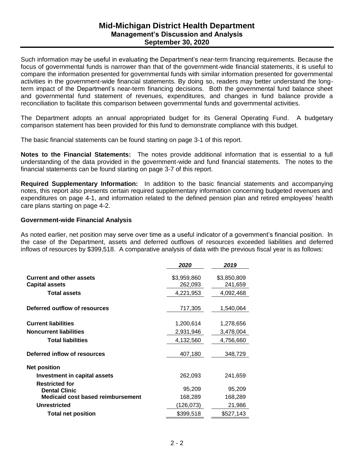## **Mid-Michigan District Health Department Management's Discussion and Analysis September 30, 2020**

Such information may be useful in evaluating the Department's near-term financing requirements. Because the focus of governmental funds is narrower than that of the government-wide financial statements, it is useful to compare the information presented for governmental funds with similar information presented for governmental activities in the government-wide financial statements. By doing so, readers may better understand the longterm impact of the Department's near-term financing decisions. Both the governmental fund balance sheet and governmental fund statement of revenues, expenditures, and changes in fund balance provide a reconciliation to facilitate this comparison between governmental funds and governmental activities.

The Department adopts an annual appropriated budget for its General Operating Fund. A budgetary comparison statement has been provided for this fund to demonstrate compliance with this budget.

The basic financial statements can be found starting on page 3-1 of this report.

**Notes to the Financial Statements:** The notes provide additional information that is essential to a full understanding of the data provided in the government-wide and fund financial statements. The notes to the financial statements can be found starting on page 3-7 of this report.

**Required Supplementary Information:** In addition to the basic financial statements and accompanying notes, this report also presents certain required supplementary information concerning budgeted revenues and expenditures on page 4-1, and information related to the defined pension plan and retired employees' health care plans starting on page 4-2.

#### **Government-wide Financial Analysis**

As noted earlier, net position may serve over time as a useful indicator of a government's financial position. In the case of the Department, assets and deferred outflows of resources exceeded liabilities and deferred inflows of resources by \$399,518. A comparative analysis of data with the previous fiscal year is as follows:

|                                                                                 | 2020                                | 2019                                |
|---------------------------------------------------------------------------------|-------------------------------------|-------------------------------------|
| <b>Current and other assets</b><br><b>Capital assets</b><br><b>Total assets</b> | \$3,959,860<br>262,093<br>4,221,953 | \$3,850,809<br>241,659<br>4,092,468 |
|                                                                                 |                                     |                                     |
| Deferred outflow of resources                                                   | 717,305                             | 1,540,064                           |
| <b>Current liabilities</b>                                                      | 1,200,614                           | 1,278,656                           |
| <b>Noncurrent liabilities</b>                                                   | 2,931,946                           | 3,478,004                           |
| <b>Total liabilities</b>                                                        | 4,132,560                           | 4,756,660                           |
| Deferred inflow of resources                                                    | 407,180                             | 348,729                             |
| <b>Net position</b>                                                             |                                     |                                     |
| Investment in capital assets                                                    | 262,093                             | 241,659                             |
| <b>Restricted for</b><br><b>Dental Clinic</b>                                   | 95,209                              | 95,209                              |
| Medicaid cost based reimbursement                                               | 168,289                             | 168,289                             |
| <b>Unrestricted</b>                                                             | (126,073)                           | 21,986                              |
| <b>Total net position</b>                                                       | \$399,518                           | \$527,143                           |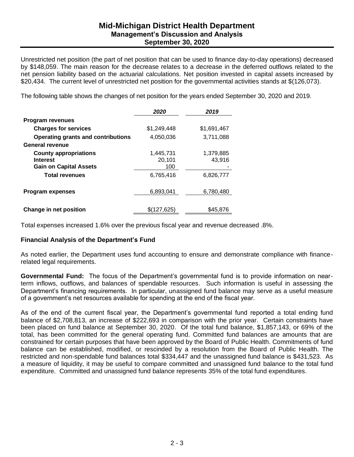Unrestricted net position (the part of net position that can be used to finance day-to-day operations) decreased by \$148,059. The main reason for the decrease relates to a decrease in the deferred outflows related to the net pension liability based on the actuarial calculations. Net position invested in capital assets increased by \$20,434. The current level of unrestricted net position for the governmental activities stands at \$(126,073).

The following table shows the changes of net position for the years ended September 30, 2020 and 2019.

|                                                 | 2020                | 2019                |
|-------------------------------------------------|---------------------|---------------------|
| <b>Program revenues</b>                         |                     |                     |
| <b>Charges for services</b>                     | \$1.249.448         | \$1,691,467         |
| <b>Operating grants and contributions</b>       | 4,050,036           | 3,711,088           |
| <b>General revenue</b>                          |                     |                     |
| <b>County appropriations</b><br><b>Interest</b> | 1,445,731<br>20,101 | 1,379,885<br>43,916 |
| <b>Gain on Capital Assets</b>                   | 100                 |                     |
| <b>Total revenues</b>                           | 6.765.416           | 6.826.777           |
| <b>Program expenses</b>                         | 6,893,041           | 6,780,480           |
| Change in net position                          | \$(127,625)         | \$45,876            |

Total expenses increased 1.6% over the previous fiscal year and revenue decreased .8%.

## **Financial Analysis of the Department's Fund**

As noted earlier, the Department uses fund accounting to ensure and demonstrate compliance with financerelated legal requirements.

**Governmental Fund:** The focus of the Department's governmental fund is to provide information on nearterm inflows, outflows, and balances of spendable resources. Such information is useful in assessing the Department's financing requirements. In particular, unassigned fund balance may serve as a useful measure of a government's net resources available for spending at the end of the fiscal year.

As of the end of the current fiscal year, the Department's governmental fund reported a total ending fund balance of \$2,708,813, an increase of \$222,693 in comparison with the prior year. Certain constraints have been placed on fund balance at September 30, 2020. Of the total fund balance, \$1,857,143, or 69% of the total, has been committed for the general operating fund. Committed fund balances are amounts that are constrained for certain purposes that have been approved by the Board of Public Health. Commitments of fund balance can be established, modified, or rescinded by a resolution from the Board of Public Health. The restricted and non-spendable fund balances total \$334,447 and the unassigned fund balance is \$431,523. As a measure of liquidity, it may be useful to compare committed and unassigned fund balance to the total fund expenditure. Committed and unassigned fund balance represents 35% of the total fund expenditures.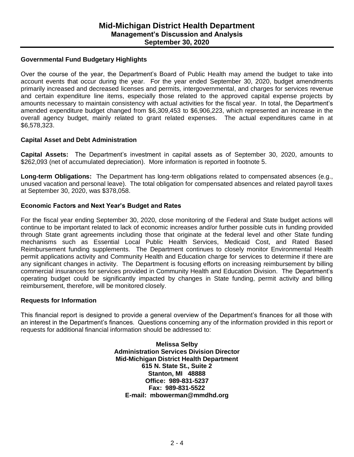#### **Governmental Fund Budgetary Highlights**

Over the course of the year, the Department's Board of Public Health may amend the budget to take into account events that occur during the year. For the year ended September 30, 2020, budget amendments primarily increased and decreased licenses and permits, intergovernmental, and charges for services revenue and certain expenditure line items, especially those related to the approved capital expense projects by amounts necessary to maintain consistency with actual activities for the fiscal year. In total, the Department's amended expenditure budget changed from \$6,309,453 to \$6,906,223, which represented an increase in the overall agency budget, mainly related to grant related expenses. The actual expenditures came in at \$6,578,323.

#### **Capital Asset and Debt Administration**

**Capital Assets:** The Department's investment in capital assets as of September 30, 2020, amounts to \$262,093 (net of accumulated depreciation). More information is reported in footnote 5.

**Long-term Obligations:** The Department has long-term obligations related to compensated absences (e.g., unused vacation and personal leave). The total obligation for compensated absences and related payroll taxes at September 30, 2020, was \$378,058.

#### **Economic Factors and Next Year's Budget and Rates**

For the fiscal year ending September 30, 2020, close monitoring of the Federal and State budget actions will continue to be important related to lack of economic increases and/or further possible cuts in funding provided through State grant agreements including those that originate at the federal level and other State funding mechanisms such as Essential Local Public Health Services, Medicaid Cost, and Rated Based Reimbursement funding supplements. The Department continues to closely monitor Environmental Health permit applications activity and Community Health and Education charge for services to determine if there are any significant changes in activity. The Department is focusing efforts on increasing reimbursement by billing commercial insurances for services provided in Community Health and Education Division. The Department's operating budget could be significantly impacted by changes in State funding, permit activity and billing reimbursement, therefore, will be monitored closely.

#### **Requests for Information**

This financial report is designed to provide a general overview of the Department's finances for all those with an interest in the Department's finances. Questions concerning any of the information provided in this report or requests for additional financial information should be addressed to:

> **Melissa Selby Administration Services Division Director Mid-Michigan District Health Department 615 N. State St., Suite 2 Stanton, MI 48888 Office: 989-831-5237 Fax: 989-831-5522 E-mail: mbowerman@mmdhd.org**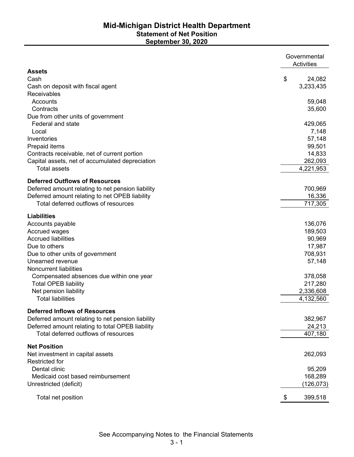## **Mid-Michigan District Health Department Statement of Net Position September 30, 2020**

|                                                   | Governmental<br>Activities |
|---------------------------------------------------|----------------------------|
| <b>Assets</b>                                     |                            |
| Cash                                              | \$<br>24,082               |
| Cash on deposit with fiscal agent                 | 3,233,435                  |
| Receivables                                       |                            |
| Accounts                                          | 59,048                     |
| Contracts                                         | 35,600                     |
| Due from other units of government                |                            |
| <b>Federal and state</b>                          | 429,065                    |
| Local                                             | 7,148                      |
| Inventories                                       | 57,148                     |
| Prepaid items                                     | 99,501                     |
| Contracts receivable, net of current portion      | 14,833                     |
| Capital assets, net of accumulated depreciation   | 262,093                    |
| <b>Total assets</b>                               | 4,221,953                  |
| <b>Deferred Outflows of Resources</b>             |                            |
| Deferred amount relating to net pension liability | 700,969                    |
| Deferred amount relating to net OPEB liability    | 16,336                     |
| Total deferred outflows of resources              | 717,305                    |
|                                                   |                            |
| <b>Liabilities</b>                                |                            |
| Accounts payable                                  | 136,076                    |
| Accrued wages                                     | 189,503                    |
| <b>Accrued liabilities</b>                        | 90,969                     |
| Due to others                                     | 17,987                     |
| Due to other units of government                  | 708,931                    |
| Unearned revenue                                  | 57,148                     |
| <b>Noncurrent liabilities</b>                     |                            |
| Compensated absences due within one year          | 378,058                    |
| <b>Total OPEB liability</b>                       | 217,280                    |
| Net pension liability                             | 2,336,608                  |
| <b>Total liabilities</b>                          | 4,132,560                  |
| <b>Deferred Inflows of Resources</b>              |                            |
| Deferred amount relating to net pension liability | 382,967                    |
| Deferred amount relating to total OPEB liability  | 24,213                     |
| Total deferred outflows of resources              | 407,180                    |
|                                                   |                            |
| <b>Net Position</b>                               |                            |
| Net investment in capital assets                  | 262,093                    |
| <b>Restricted for</b>                             |                            |
| Dental clinic                                     | 95,209                     |
| Medicaid cost based reimbursement                 | 168,289                    |
| Unrestricted (deficit)                            | (126,073)                  |
| Total net position                                | \$<br>399,518              |
|                                                   |                            |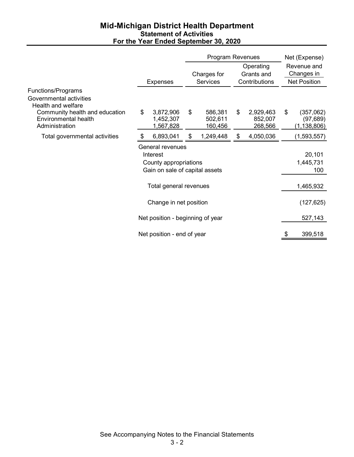## **Mid-Michigan District Health Department Statement of Activities For the Year Ended September 30, 2020**

|                                                                                                                                      |                                                                                                |                                  | <b>Program Revenues</b> |                                                                            |                            | Net (Expense)                                    |                              |
|--------------------------------------------------------------------------------------------------------------------------------------|------------------------------------------------------------------------------------------------|----------------------------------|-------------------------|----------------------------------------------------------------------------|----------------------------|--------------------------------------------------|------------------------------|
|                                                                                                                                      |                                                                                                | <b>Expenses</b>                  |                         | Operating<br>Charges for<br>Grants and<br>Contributions<br><b>Services</b> |                            | Revenue and<br>Changes in<br><b>Net Position</b> |                              |
| Functions/Programs<br>Governmental activities<br>Health and welfare<br>Community health and education<br><b>Environmental health</b> | \$                                                                                             | 3,872,906<br>1,452,307           | \$                      | 586,381<br>502,611                                                         | \$                         | 2,929,463<br>852,007                             | \$<br>(357,062)<br>(97, 689) |
| Administration<br>Total governmental activities                                                                                      |                                                                                                | 1,567,828<br>6,893,041           | \$                      | 160,456<br>1,249,448                                                       | \$                         | 268,566<br>4,050,036                             | (1, 138, 806)<br>(1,593,557) |
|                                                                                                                                      | <b>General revenues</b><br>Interest<br>County appropriations<br>Gain on sale of capital assets |                                  |                         |                                                                            | 20,101<br>1,445,731<br>100 |                                                  |                              |
|                                                                                                                                      |                                                                                                | Total general revenues           |                         |                                                                            |                            |                                                  | 1,465,932                    |
|                                                                                                                                      |                                                                                                | Change in net position           |                         |                                                                            |                            |                                                  | (127, 625)                   |
|                                                                                                                                      |                                                                                                | Net position - beginning of year |                         |                                                                            |                            |                                                  | 527,143                      |
|                                                                                                                                      |                                                                                                | Net position - end of year       |                         |                                                                            |                            |                                                  | 399,518                      |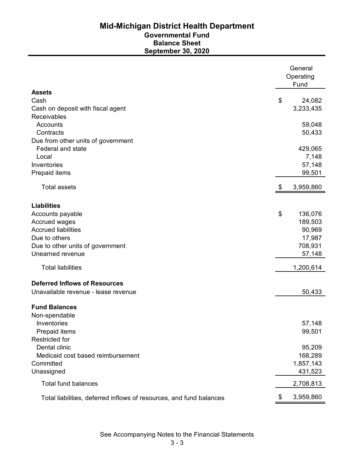## **Mid-Michigan District Health Department Governmental Fund Balance Sheet September 30, 2020**

|                                                                     |    | General<br>Operating<br>Fund |
|---------------------------------------------------------------------|----|------------------------------|
| <b>Assets</b>                                                       |    |                              |
| Cash                                                                | \$ | 24,082                       |
| Cash on deposit with fiscal agent                                   |    | 3,233,435                    |
| <b>Receivables</b>                                                  |    |                              |
| Accounts                                                            |    | 59,048                       |
| Contracts                                                           |    | 50,433                       |
| Due from other units of government                                  |    |                              |
| <b>Federal and state</b>                                            |    | 429,065                      |
| Local                                                               |    | 7,148                        |
| Inventories                                                         |    | 57,148                       |
| Prepaid items                                                       |    | 99,501                       |
| <b>Total assets</b>                                                 | \$ | 3,959,860                    |
|                                                                     |    |                              |
| <b>Liabilities</b>                                                  |    |                              |
| Accounts payable                                                    | \$ | 136,076                      |
| Accrued wages                                                       |    | 189,503                      |
| <b>Accrued liabilities</b>                                          |    | 90,969                       |
| Due to others                                                       |    | 17,987                       |
| Due to other units of government                                    |    | 708,931                      |
| Unearned revenue                                                    |    | 57,148                       |
| <b>Total liabilities</b>                                            |    | 1,200,614                    |
| <b>Deferred Inflows of Resources</b>                                |    |                              |
| Unavailable revenue - lease revenue                                 |    | 50,433                       |
|                                                                     |    |                              |
| <b>Fund Balances</b>                                                |    |                              |
| Non-spendable                                                       |    |                              |
| Inventories                                                         |    | 57,148                       |
| Prepaid items                                                       |    | 99,501                       |
| <b>Restricted for</b>                                               |    |                              |
| Dental clinic                                                       |    | 95,209                       |
| Medicaid cost based reimbursement                                   |    | 168,289                      |
| Committed                                                           |    | 1,857,143                    |
| Unassigned                                                          |    | 431,523                      |
| <b>Total fund balances</b>                                          |    | 2,708,813                    |
| Total liabilities, deferred inflows of resources, and fund balances | P. | 3,959,860                    |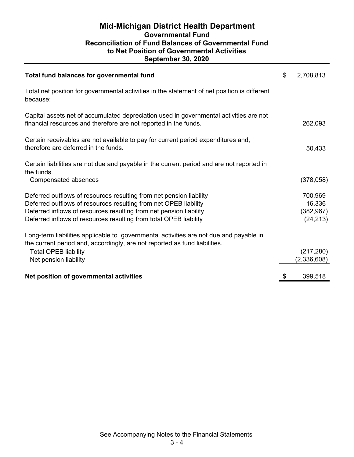## **Mid-Michigan District Health Department Reconciliation of Fund Balances of Governmental Fund to Net Position of Governmental Activities September 30, 2020 Governmental Fund**

| Total fund balances for governmental fund                                                                                                                            | \$<br>2,708,813 |
|----------------------------------------------------------------------------------------------------------------------------------------------------------------------|-----------------|
| Total net position for governmental activities in the statement of net position is different<br>because:                                                             |                 |
| Capital assets net of accumulated depreciation used in governmental activities are not<br>financial resources and therefore are not reported in the funds.           | 262,093         |
| Certain receivables are not available to pay for current period expenditures and,<br>therefore are deferred in the funds.                                            | 50,433          |
| Certain liabilities are not due and payable in the current period and are not reported in                                                                            |                 |
| the funds.<br>Compensated absences                                                                                                                                   | (378,058)       |
| Deferred outflows of resources resulting from net pension liability                                                                                                  | 700,969         |
| Deferred outflows of resources resulting from net OPEB liability                                                                                                     | 16,336          |
| Deferred inflows of resources resulting from net pension liability                                                                                                   | (382, 967)      |
| Deferred inflows of resources resulting from total OPEB liability                                                                                                    | (24, 213)       |
| Long-term liabilities applicable to governmental activities are not due and payable in<br>the current period and, accordingly, are not reported as fund liabilities. |                 |
| <b>Total OPEB liability</b>                                                                                                                                          | (217, 280)      |
| Net pension liability                                                                                                                                                | (2,336,608)     |
|                                                                                                                                                                      |                 |
| Net position of governmental activities                                                                                                                              | \$<br>399,518   |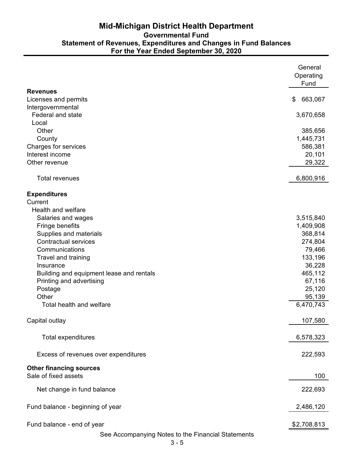## **Mid-Michigan District Health Department Governmental Fund Statement of Revenues, Expenditures and Changes in Fund Balances For the Year Ended September 30, 2020**

|                                                        | General<br>Operating<br>Fund |
|--------------------------------------------------------|------------------------------|
| <b>Revenues</b>                                        |                              |
| Licenses and permits                                   | 663,067<br>\$                |
| Intergovernmental<br><b>Federal and state</b>          | 3,670,658                    |
| Local                                                  |                              |
| Other                                                  | 385,656                      |
| County                                                 | 1,445,731                    |
| Charges for services                                   | 586,381                      |
| Interest income                                        | 20,101                       |
| Other revenue                                          | 29,322                       |
| <b>Total revenues</b>                                  | 6,800,916                    |
| <b>Expenditures</b>                                    |                              |
| Current                                                |                              |
| Health and welfare                                     |                              |
| Salaries and wages                                     | 3,515,840                    |
| Fringe benefits                                        | 1,409,908                    |
| Supplies and materials                                 | 368,814                      |
| <b>Contractual services</b>                            | 274,804                      |
| Communications                                         | 79,466                       |
| Travel and training                                    | 133,196                      |
| Insurance                                              | 36,228                       |
| Building and equipment lease and rentals               | 465,112                      |
| Printing and advertising                               | 67,116                       |
| Postage                                                | 25,120                       |
| Other                                                  | 95,139                       |
| Total health and welfare                               | 6,470,743                    |
| Capital outlay                                         | 107,580                      |
| Total expenditures                                     | 6,578,323                    |
|                                                        |                              |
| Excess of revenues over expenditures                   | 222,593                      |
| <b>Other financing sources</b><br>Sale of fixed assets | 100                          |
|                                                        |                              |
| Net change in fund balance                             | 222,693                      |
| Fund balance - beginning of year                       | 2,486,120                    |
| Fund balance - end of year                             | \$2,708,813                  |
| See Accompanying Notes to the Financial Statements     |                              |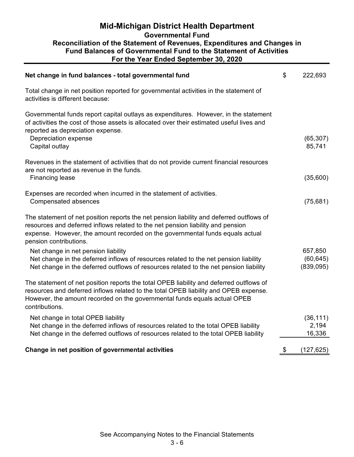## **For the Year Ended September 30, 2020 Mid-Michigan District Health Department Governmental Fund Reconciliation of the Statement of Revenues, Expenditures and Changes in Fund Balances of Governmental Fund to the Statement of Activities**

| Net change in fund balances - total governmental fund                                                                                                                                                                                                                                  | \$<br>222,693                     |
|----------------------------------------------------------------------------------------------------------------------------------------------------------------------------------------------------------------------------------------------------------------------------------------|-----------------------------------|
| Total change in net position reported for governmental activities in the statement of<br>activities is different because:                                                                                                                                                              |                                   |
| Governmental funds report capital outlays as expenditures. However, in the statement<br>of activities the cost of those assets is allocated over their estimated useful lives and<br>reported as depreciation expense.                                                                 |                                   |
| Depreciation expense<br>Capital outlay                                                                                                                                                                                                                                                 | (65, 307)<br>85,741               |
| Revenues in the statement of activities that do not provide current financial resources<br>are not reported as revenue in the funds.                                                                                                                                                   |                                   |
| <b>Financing lease</b>                                                                                                                                                                                                                                                                 | (35,600)                          |
| Expenses are recorded when incurred in the statement of activities.<br>Compensated absences                                                                                                                                                                                            | (75, 681)                         |
| The statement of net position reports the net pension liability and deferred outflows of<br>resources and deferred inflows related to the net pension liability and pension<br>expense. However, the amount recorded on the governmental funds equals actual<br>pension contributions. |                                   |
| Net change in net pension liability<br>Net change in the deferred inflows of resources related to the net pension liability<br>Net change in the deferred outflows of resources related to the net pension liability                                                                   | 657,850<br>(60, 645)<br>(839,095) |
| The statement of net position reports the total OPEB liability and deferred outflows of<br>resources and deferred inflows related to the total OPEB liability and OPEB expense.<br>However, the amount recorded on the governmental funds equals actual OPEB<br>contributions.         |                                   |
| Net change in total OPEB liability<br>Net change in the deferred inflows of resources related to the total OPEB liability                                                                                                                                                              | (36, 111)<br>2,194<br>16,336      |
| Net change in the deferred outflows of resources related to the total OPEB liability                                                                                                                                                                                                   |                                   |
| Change in net position of governmental activities                                                                                                                                                                                                                                      | \$<br>(127, 625)                  |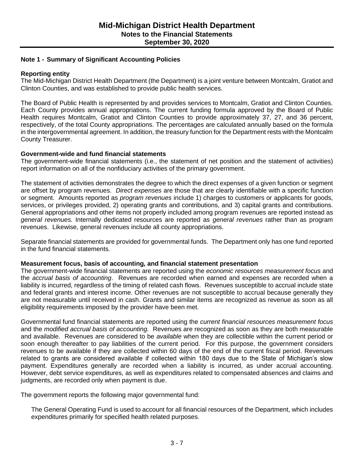## **Note 1 - Summary of Significant Accounting Policies**

### **Reporting entity**

The Mid-Michigan District Health Department (the Department) is a joint venture between Montcalm, Gratiot and Clinton Counties, and was established to provide public health services.

The Board of Public Health is represented by and provides services to Montcalm, Gratiot and Clinton Counties. Each County provides annual appropriations. The current funding formula approved by the Board of Public Health requires Montcalm, Gratiot and Clinton Counties to provide approximately 37, 27, and 36 percent, respectively, of the total County appropriations. The percentages are calculated annually based on the formula in the intergovernmental agreement. In addition, the treasury function for the Department rests with the Montcalm County Treasurer.

#### **Government-wide and fund financial statements**

The government-wide financial statements (i.e., the statement of net position and the statement of activities) report information on all of the nonfiduciary activities of the primary government.

The statement of activities demonstrates the degree to which the direct expenses of a given function or segment are offset by program revenues. *Direct expenses* are those that are clearly identifiable with a specific function or segment. Amounts reported as *program revenues* include 1) charges to customers or applicants for goods, services, or privileges provided, 2) operating grants and contributions, and 3) capital grants and contributions. General appropriations and other items not properly included among program revenues are reported instead as *general revenues.* Internally dedicated resources are reported as *general revenues* rather than as program revenues. Likewise, general revenues include all county appropriations.

Separate financial statements are provided for governmental funds. The Department only has one fund reported in the fund financial statements.

#### **Measurement focus, basis of accounting, and financial statement presentation**

The government-wide financial statements are reported using the *economic resources measurement focus* and the *accrual basis of accounting*. Revenues are recorded when earned and expenses are recorded when a liability is incurred, regardless of the timing of related cash flows. Revenues susceptible to accrual include state and federal grants and interest income. Other revenues are not susceptible to accrual because generally they are not measurable until received in cash. Grants and similar items are recognized as revenue as soon as all eligibility requirements imposed by the provider have been met.

Governmental fund financial statements are reported using the *current financial resources measurement focus* and the *modified accrual basis of accounting.* Revenues are recognized as soon as they are both measurable and available. Revenues are considered to be *available* when they are collectible within the current period or soon enough thereafter to pay liabilities of the current period. For this purpose, the government considers revenues to be available if they are collected within 60 days of the end of the current fiscal period. Revenues related to grants are considered available if collected within 180 days due to the State of Michigan's slow payment. Expenditures generally are recorded when a liability is incurred, as under accrual accounting. However, debt service expenditures, as well as expenditures related to compensated absences and claims and judgments, are recorded only when payment is due.

The government reports the following major governmental fund:

The General Operating Fund is used to account for all financial resources of the Department, which includes expenditures primarily for specified health related purposes.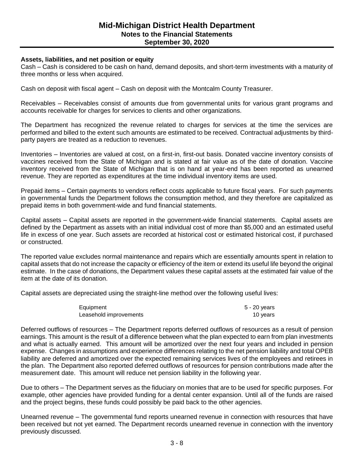#### **Assets, liabilities, and net position or equity**

Cash – Cash is considered to be cash on hand, demand deposits, and short-term investments with a maturity of three months or less when acquired.

Cash on deposit with fiscal agent – Cash on deposit with the Montcalm County Treasurer.

Receivables – Receivables consist of amounts due from governmental units for various grant programs and accounts receivable for charges for services to clients and other organizations.

The Department has recognized the revenue related to charges for services at the time the services are performed and billed to the extent such amounts are estimated to be received. Contractual adjustments by thirdparty payers are treated as a reduction to revenues.

Inventories – Inventories are valued at cost, on a first-in, first-out basis. Donated vaccine inventory consists of vaccines received from the State of Michigan and is stated at fair value as of the date of donation. Vaccine inventory received from the State of Michigan that is on hand at year-end has been reported as unearned revenue. They are reported as expenditures at the time individual inventory items are used.

Prepaid items – Certain payments to vendors reflect costs applicable to future fiscal years. For such payments in governmental funds the Department follows the consumption method, and they therefore are capitalized as prepaid items in both government-wide and fund financial statements.

Capital assets – Capital assets are reported in the government-wide financial statements. Capital assets are defined by the Department as assets with an initial individual cost of more than \$5,000 and an estimated useful life in excess of one year. Such assets are recorded at historical cost or estimated historical cost, if purchased or constructed.

The reported value excludes normal maintenance and repairs which are essentially amounts spent in relation to capital assets that do not increase the capacity or efficiency of the item or extend its useful life beyond the original estimate. In the case of donations, the Department values these capital assets at the estimated fair value of the item at the date of its donation.

Capital assets are depreciated using the straight-line method over the following useful lives:

| Equipment              | 5 - 20 years |
|------------------------|--------------|
| Leasehold improvements | 10 years     |

Deferred outflows of resources – The Department reports deferred outflows of resources as a result of pension earnings. This amount is the result of a difference between what the plan expected to earn from plan investments and what is actually earned. This amount will be amortized over the next four years and included in pension expense. Changes in assumptions and experience differences relating to the net pension liability and total OPEB liability are deferred and amortized over the expected remaining services lives of the employees and retirees in the plan. The Department also reported deferred outflows of resources for pension contributions made after the measurement date. This amount will reduce net pension liability in the following year.

Due to others – The Department serves as the fiduciary on monies that are to be used for specific purposes. For example, other agencies have provided funding for a dental center expansion. Until all of the funds are raised and the project begins, these funds could possibly be paid back to the other agencies.

Unearned revenue – The governmental fund reports unearned revenue in connection with resources that have been received but not yet earned. The Department records unearned revenue in connection with the inventory previously discussed.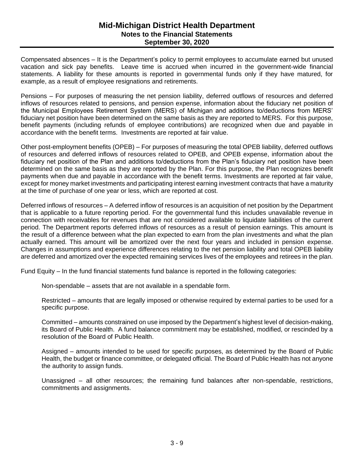## **Mid-Michigan District Health Department Notes to the Financial Statements September 30, 2020**

Compensated absences – It is the Department's policy to permit employees to accumulate earned but unused vacation and sick pay benefits. Leave time is accrued when incurred in the government-wide financial statements. A liability for these amounts is reported in governmental funds only if they have matured, for example, as a result of employee resignations and retirements.

Pensions – For purposes of measuring the net pension liability, deferred outflows of resources and deferred inflows of resources related to pensions, and pension expense, information about the fiduciary net position of the Municipal Employees Retirement System (MERS) of Michigan and additions to/deductions from MERS' fiduciary net position have been determined on the same basis as they are reported to MERS. For this purpose, benefit payments (including refunds of employee contributions) are recognized when due and payable in accordance with the benefit terms. Investments are reported at fair value.

Other post-employment benefits (OPEB) – For purposes of measuring the total OPEB liability, deferred outflows of resources and deferred inflows of resources related to OPEB, and OPEB expense, information about the fiduciary net position of the Plan and additions to/deductions from the Plan's fiduciary net position have been determined on the same basis as they are reported by the Plan. For this purpose, the Plan recognizes benefit payments when due and payable in accordance with the benefit terms. Investments are reported at fair value, except for money market investments and participating interest earning investment contracts that have a maturity at the time of purchase of one year or less, which are reported at cost.

Deferred inflows of resources – A deferred inflow of resources is an acquisition of net position by the Department that is applicable to a future reporting period. For the governmental fund this includes unavailable revenue in connection with receivables for revenues that are not considered available to liquidate liabilities of the current period. The Department reports deferred inflows of resources as a result of pension earnings. This amount is the result of a difference between what the plan expected to earn from the plan investments and what the plan actually earned. This amount will be amortized over the next four years and included in pension expense. Changes in assumptions and experience differences relating to the net pension liability and total OPEB liability are deferred and amortized over the expected remaining services lives of the employees and retirees in the plan.

Fund Equity – In the fund financial statements fund balance is reported in the following categories:

Non-spendable – assets that are not available in a spendable form.

Restricted – amounts that are legally imposed or otherwise required by external parties to be used for a specific purpose.

Committed – amounts constrained on use imposed by the Department's highest level of decision-making, its Board of Public Health. A fund balance commitment may be established, modified, or rescinded by a resolution of the Board of Public Health.

Assigned – amounts intended to be used for specific purposes, as determined by the Board of Public Health, the budget or finance committee, or delegated official. The Board of Public Health has not anyone the authority to assign funds.

Unassigned – all other resources; the remaining fund balances after non-spendable, restrictions, commitments and assignments.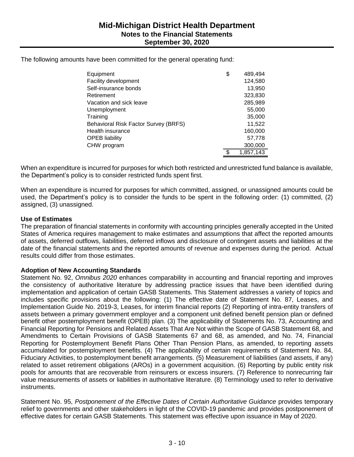| Equipment                                   | \$<br>489,494 |
|---------------------------------------------|---------------|
| Facility development                        | 124,580       |
| Self-insurance bonds                        | 13,950        |
| Retirement                                  | 323,830       |
| Vacation and sick leave                     | 285,989       |
| Unemployment                                | 55,000        |
| Training                                    | 35,000        |
| <b>Behavioral Risk Factor Survey (BRFS)</b> | 11,522        |
| Health insurance                            | 160,000       |
| <b>OPEB</b> liability                       | 57,778        |
| CHW program                                 | 300,000       |
|                                             | 1,857,143     |

The following amounts have been committed for the general operating fund:

When an expenditure is incurred for purposes for which both restricted and unrestricted fund balance is available, the Department's policy is to consider restricted funds spent first.

When an expenditure is incurred for purposes for which committed, assigned, or unassigned amounts could be used, the Department's policy is to consider the funds to be spent in the following order: (1) committed, (2) assigned, (3) unassigned.

#### **Use of Estimates**

The preparation of financial statements in conformity with accounting principles generally accepted in the United States of America requires management to make estimates and assumptions that affect the reported amounts of assets, deferred outflows, liabilities, deferred inflows and disclosure of contingent assets and liabilities at the date of the financial statements and the reported amounts of revenue and expenses during the period. Actual results could differ from those estimates.

#### **Adoption of New Accounting Standards**

Statement No. 92, *Omnibus 2020* enhances comparability in accounting and financial reporting and improves the consistency of authoritative literature by addressing practice issues that have been identified during implementation and application of certain GASB Statements. This Statement addresses a variety of topics and includes specific provisions about the following: (1) The effective date of Statement No. 87, Leases, and Implementation Guide No. 2019-3, Leases, for interim financial reports (2) Reporting of intra-entity transfers of assets between a primary government employer and a component unit defined benefit pension plan or defined benefit other postemployment benefit (OPEB) plan. (3) The applicability of Statements No. 73, Accounting and Financial Reporting for Pensions and Related Assets That Are Not within the Scope of GASB Statement 68, and Amendments to Certain Provisions of GASB Statements 67 and 68, as amended, and No. 74, Financial Reporting for Postemployment Benefit Plans Other Than Pension Plans, as amended, to reporting assets accumulated for postemployment benefits. (4) The applicability of certain requirements of Statement No. 84, Fiduciary Activities, to postemployment benefit arrangements. (5) Measurement of liabilities (and assets, if any) related to asset retirement obligations (AROs) in a government acquisition. (6) Reporting by public entity risk pools for amounts that are recoverable from reinsurers or excess insurers. (7) Reference to nonrecurring fair value measurements of assets or liabilities in authoritative literature. (8) Terminology used to refer to derivative instruments.

Statement No. 95, *Postponement of the Effective Dates of Certain Authoritative Guidance* provides temporary relief to governments and other stakeholders in light of the COVID-19 pandemic and provides postponement of effective dates for certain GASB Statements. This statement was effective upon issuance in May of 2020.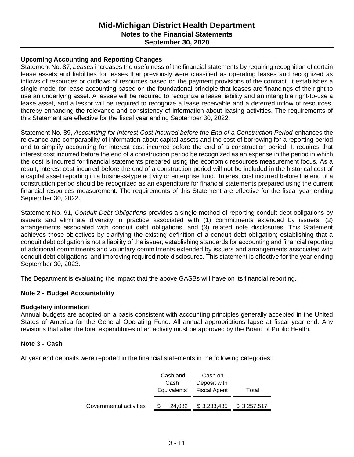## **Mid-Michigan District Health Department Notes to the Financial Statements September 30, 2020**

### **Upcoming Accounting and Reporting Changes**

Statement No. 87, *Leases* increases the usefulness of the financial statements by requiring recognition of certain lease assets and liabilities for leases that previously were classified as operating leases and recognized as inflows of resources or outflows of resources based on the payment provisions of the contract. It establishes a single model for lease accounting based on the foundational principle that leases are financings of the right to use an underlying asset. A lessee will be required to recognize a lease liability and an intangible right-to-use a lease asset, and a lessor will be required to recognize a lease receivable and a deferred inflow of resources, thereby enhancing the relevance and consistency of information about leasing activities. The requirements of this Statement are effective for the fiscal year ending September 30, 2022.

Statement No. 89, *Accounting for Interest Cost Incurred before the End of a Construction Period* enhances the relevance and comparability of information about capital assets and the cost of borrowing for a reporting period and to simplify accounting for interest cost incurred before the end of a construction period. It requires that interest cost incurred before the end of a construction period be recognized as an expense in the period in which the cost is incurred for financial statements prepared using the economic resources measurement focus. As a result, interest cost incurred before the end of a construction period will not be included in the historical cost of a capital asset reporting in a business-type activity or enterprise fund. Interest cost incurred before the end of a construction period should be recognized as an expenditure for financial statements prepared using the current financial resources measurement. The requirements of this Statement are effective for the fiscal year ending September 30, 2022.

Statement No. 91, *Conduit Debt Obligations* provides a single method of reporting conduit debt obligations by issuers and eliminate diversity in practice associated with (1) commitments extended by issuers, (2) arrangements associated with conduit debt obligations, and (3) related note disclosures. This Statement achieves those objectives by clarifying the existing definition of a conduit debt obligation; establishing that a conduit debt obligation is not a liability of the issuer; establishing standards for accounting and financial reporting of additional commitments and voluntary commitments extended by issuers and arrangements associated with conduit debt obligations; and improving required note disclosures. This statement is effective for the year ending September 30, 2023.

The Department is evaluating the impact that the above GASBs will have on its financial reporting.

#### **Note 2 - Budget Accountability**

#### **Budgetary information**

Annual budgets are adopted on a basis consistent with accounting principles generally accepted in the United States of America for the General Operating Fund. All annual appropriations lapse at fiscal year end. Any revisions that alter the total expenditures of an activity must be approved by the Board of Public Health.

#### **Note 3 - Cash**

At year end deposits were reported in the financial statements in the following categories:

|                         | Cash and<br>Cash<br>Equivalents |        | Cash on<br>Deposit with<br><b>Fiscal Agent</b> | Total       |
|-------------------------|---------------------------------|--------|------------------------------------------------|-------------|
| Governmental activities | S                               | 24.082 | \$3,233,435                                    | \$3,257,517 |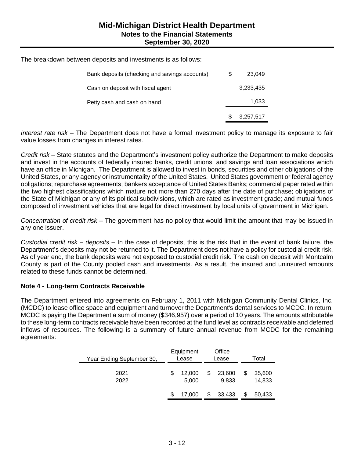The breakdown between deposits and investments is as follows:

|                                               |    | 3,257,517 |
|-----------------------------------------------|----|-----------|
| Petty cash and cash on hand                   |    | 1,033     |
| Cash on deposit with fiscal agent             |    | 3.233.435 |
| Bank deposits (checking and savings accounts) | £. | 23.049    |

*Interest rate risk* – The Department does not have a formal investment policy to manage its exposure to fair value losses from changes in interest rates.

*Credit risk* – State statutes and the Department's investment policy authorize the Department to make deposits and invest in the accounts of federally insured banks, credit unions, and savings and loan associations which have an office in Michigan. The Department is allowed to invest in bonds, securities and other obligations of the United States, or any agency or instrumentality of the United States. United States government or federal agency obligations; repurchase agreements; bankers acceptance of United States Banks; commercial paper rated within the two highest classifications which mature not more than 270 days after the date of purchase; obligations of the State of Michigan or any of its political subdivisions, which are rated as investment grade; and mutual funds composed of investment vehicles that are legal for direct investment by local units of government in Michigan.

*Concentration of credit risk* – The government has no policy that would limit the amount that may be issued in any one issuer.

*Custodial credit risk – deposits* – In the case of deposits, this is the risk that in the event of bank failure, the Department's deposits may not be returned to it. The Department does not have a policy for custodial credit risk. As of year end, the bank deposits were not exposed to custodial credit risk. The cash on deposit with Montcalm County is part of the County pooled cash and investments. As a result, the insured and uninsured amounts related to these funds cannot be determined.

## **Note 4 - Long-term Contracts Receivable**

The Department entered into agreements on February 1, 2011 with Michigan Community Dental Clinics, Inc. (MCDC) to lease office space and equipment and turnover the Department's dental services to MCDC. In return, MCDC is paying the Department a sum of money (\$346,957) over a period of 10 years. The amounts attributable to these long-term contracts receivable have been recorded at the fund level as contracts receivable and deferred inflows of resources. The following is a summary of future annual revenue from MCDC for the remaining agreements:

| Year Ending September 30, | Equipment<br>Lease |                 |  | Office<br>Lease | Total            |
|---------------------------|--------------------|-----------------|--|-----------------|------------------|
| 2021<br>2022              |                    | 12.000<br>5,000 |  | 23,600<br>9,833 | 35,600<br>14,833 |
|                           |                    | 17,000          |  | 33.433          | 50,433           |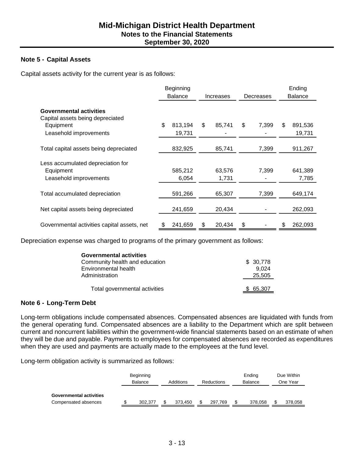## **Note 5 - Capital Assets**

Capital assets activity for the current year is as follows:

|                                                                                                           | Beginning<br><b>Balance</b> | Increases       | Decreases   | Ending<br><b>Balance</b> |
|-----------------------------------------------------------------------------------------------------------|-----------------------------|-----------------|-------------|--------------------------|
| <b>Governmental activities</b><br>Capital assets being depreciated<br>Equipment<br>Leasehold improvements | \$<br>813,194<br>19,731     | \$<br>85,741    | \$<br>7,399 | \$<br>891,536<br>19,731  |
| Total capital assets being depreciated                                                                    | 832,925                     | 85,741          | 7,399       | 911,267                  |
| Less accumulated depreciation for<br>Equipment<br>Leasehold improvements                                  | 585,212<br>6,054            | 63,576<br>1,731 | 7,399       | 641,389<br>7,785         |
| Total accumulated depreciation                                                                            | 591,266                     | 65,307          | 7,399       | 649,174                  |
| Net capital assets being depreciated                                                                      | 241,659                     | 20,434          |             | 262,093                  |
| Governmental activities capital assets, net                                                               | \$<br>241,659               | \$<br>20,434    | \$          | \$<br>262,093            |

Depreciation expense was charged to programs of the primary government as follows:

| <b>Governmental activities</b> |          |
|--------------------------------|----------|
| Community health and education | \$30,778 |
| Environmental health           | 9.024    |
| Administration                 | 25,505   |
| Total governmental activities  | \$65,307 |

#### **Note 6 - Long-Term Debt**

Long-term obligations include compensated absences. Compensated absences are liquidated with funds from the general operating fund. Compensated absences are a liability to the Department which are split between current and noncurrent liabilities within the government-wide financial statements based on an estimate of when they will be due and payable. Payments to employees for compensated absences are recorded as expenditures when they are used and payments are actually made to the employees at the fund level.

Long-term obligation activity is summarized as follows:

|                                                        | Beginning<br>Additions<br><b>Balance</b><br><b>Reductions</b> |  | Ending<br>Balance | Due Within<br>One Year |         |         |  |         |
|--------------------------------------------------------|---------------------------------------------------------------|--|-------------------|------------------------|---------|---------|--|---------|
| <b>Governmental activities</b><br>Compensated absences | 302.377                                                       |  | 373.450           |                        | 297.769 | 378,058 |  | 378,058 |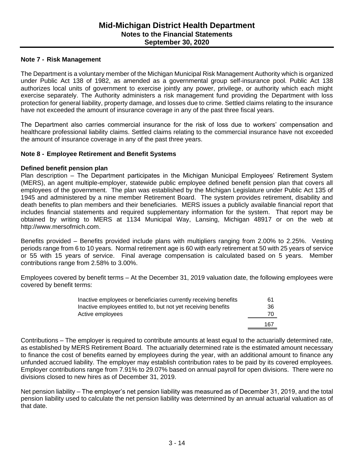### **Note 7 - Risk Management**

The Department is a voluntary member of the Michigan Municipal Risk Management Authority which is organized under Public Act 138 of 1982, as amended as a governmental group self-insurance pool. Public Act 138 authorizes local units of government to exercise jointly any power, privilege, or authority which each might exercise separately. The Authority administers a risk management fund providing the Department with loss protection for general liability, property damage, and losses due to crime. Settled claims relating to the insurance have not exceeded the amount of insurance coverage in any of the past three fiscal years.

The Department also carries commercial insurance for the risk of loss due to workers' compensation and healthcare professional liability claims. Settled claims relating to the commercial insurance have not exceeded the amount of insurance coverage in any of the past three years.

#### **Note 8 - Employee Retirement and Benefit Systems**

#### **Defined benefit pension plan**

Plan description – The Department participates in the Michigan Municipal Employees' Retirement System (MERS), an agent multiple-employer, statewide public employee defined benefit pension plan that covers all employees of the government. The plan was established by the Michigan Legislature under Public Act 135 of 1945 and administered by a nine member Retirement Board. The system provides retirement, disability and death benefits to plan members and their beneficiaries. MERS issues a publicly available financial report that includes financial statements and required supplementary information for the system. That report may be obtained by writing to MERS at 1134 Municipal Way, Lansing, Michigan 48917 or on the web at [http://www.mersofmich.com.](http://www.mersofmich.com/)

Benefits provided – Benefits provided include plans with multipliers ranging from 2.00% to 2.25%. Vesting periods range from 6 to 10 years. Normal retirement age is 60 with early retirement at 50 with 25 years of service or 55 with 15 years of service. Final average compensation is calculated based on 5 years. Member contributions range from 2.58% to 3.00%.

Employees covered by benefit terms – At the December 31, 2019 valuation date, the following employees were covered by benefit terms:

| Inactive employees or beneficiaries currently receiving benefits | 61   |
|------------------------------------------------------------------|------|
| Inactive employees entitled to, but not yet receiving benefits   | 36   |
| Active employees                                                 | -70- |
|                                                                  | 167  |

Contributions – The employer is required to contribute amounts at least equal to the actuarially determined rate, as established by MERS Retirement Board. The actuarially determined rate is the estimated amount necessary to finance the cost of benefits earned by employees during the year, with an additional amount to finance any unfunded accrued liability. The employer may establish contribution rates to be paid by its covered employees. Employer contributions range from 7.91% to 29.07% based on annual payroll for open divisions. There were no divisions closed to new hires as of December 31, 2019.

Net pension liability – The employer's net pension liability was measured as of December 31, 2019, and the total pension liability used to calculate the net pension liability was determined by an annual actuarial valuation as of that date.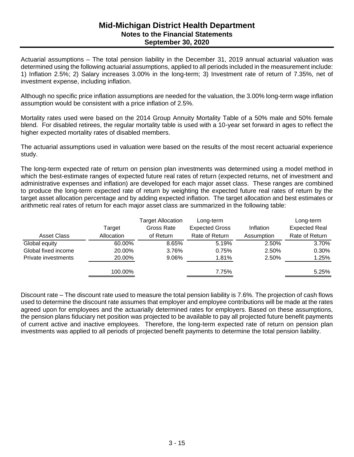## **Mid-Michigan District Health Department Notes to the Financial Statements September 30, 2020**

Actuarial assumptions – The total pension liability in the December 31, 2019 annual actuarial valuation was determined using the following actuarial assumptions, applied to all periods included in the measurement include: 1) Inflation 2.5%; 2) Salary increases 3.00% in the long-term; 3) Investment rate of return of 7.35%, net of investment expense, including inflation.

Although no specific price inflation assumptions are needed for the valuation, the 3.00% long-term wage inflation assumption would be consistent with a price inflation of 2.5%.

Mortality rates used were based on the 2014 Group Annuity Mortality Table of a 50% male and 50% female blend. For disabled retirees, the regular mortality table is used with a 10-year set forward in ages to reflect the higher expected mortality rates of disabled members.

The actuarial assumptions used in valuation were based on the results of the most recent actuarial experience study.

The long-term expected rate of return on pension plan investments was determined using a model method in which the best-estimate ranges of expected future real rates of return (expected returns, net of investment and administrative expenses and inflation) are developed for each major asset class. These ranges are combined to produce the long-term expected rate of return by weighting the expected future real rates of return by the target asset allocation percentage and by adding expected inflation. The target allocation and best estimates or arithmetic real rates of return for each major asset class are summarized in the following table:

|                     | Target     | Target Allocation<br>Gross Rate | Long-term<br><b>Expected Gross</b> | Inflation  | Long-term<br><b>Expected Real</b> |
|---------------------|------------|---------------------------------|------------------------------------|------------|-----------------------------------|
| Asset Class         | Allocation | of Return                       | Rate of Return                     | Assumption | Rate of Return                    |
| Global equity       | 60.00%     | 8.65%                           | 5.19%                              | 2.50%      | 3.70%                             |
| Global fixed income | 20.00%     | 3.76%                           | 0.75%                              | 2.50%      | 0.30%                             |
| Private investments | 20.00%     | 9.06%                           | 1.81%                              | 2.50%      | 1.25%                             |
|                     | 100.00%    |                                 | 7.75%                              |            | 5.25%                             |

Discount rate – The discount rate used to measure the total pension liability is 7.6%. The projection of cash flows used to determine the discount rate assumes that employer and employee contributions will be made at the rates agreed upon for employees and the actuarially determined rates for employers. Based on these assumptions, the pension plans fiduciary net position was projected to be available to pay all projected future benefit payments of current active and inactive employees. Therefore, the long-term expected rate of return on pension plan investments was applied to all periods of projected benefit payments to determine the total pension liability.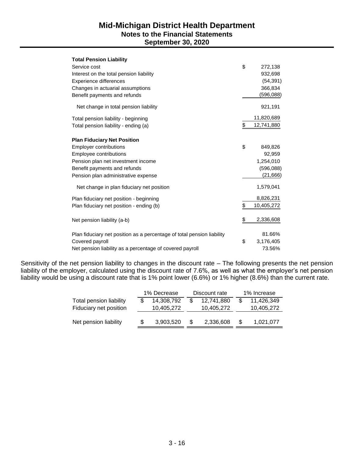## **Mid-Michigan District Health Department Notes to the Financial Statements September 30, 2020**

| <b>Total Pension Liability</b>                                         |                  |
|------------------------------------------------------------------------|------------------|
| Service cost                                                           | \$<br>272,138    |
| Interest on the total pension liability                                | 932,698          |
| Experience differences                                                 | (54, 391)        |
| Changes in actuarial assumptions                                       | 366,834          |
| Benefit payments and refunds                                           | (596,088)        |
| Net change in total pension liability                                  | 921,191          |
| Total pension liability - beginning                                    | 11,820,689       |
| Total pension liability - ending (a)                                   | \$<br>12,741,880 |
| <b>Plan Fiduciary Net Position</b>                                     |                  |
| <b>Employer contributions</b>                                          | \$<br>849,826    |
| Employee contributions                                                 | 92,959           |
| Pension plan net investment income                                     | 1,254,010        |
| Benefit payments and refunds                                           | (596,088)        |
| Pension plan administrative expense                                    | (21,666)         |
| Net change in plan fiduciary net position                              | 1,579,041        |
| Plan fiduciary net position - beginning                                | 8,826,231        |
| Plan fiduciary net position - ending (b)                               | \$<br>10,405,272 |
| Net pension liability (a-b)                                            | \$<br>2,336,608  |
| Plan fiduciary net position as a percentage of total pension liability | 81.66%           |
| Covered payroll                                                        | \$<br>3,176,405  |
| Net pension liability as a percentage of covered payroll               | 73.56%           |

Sensitivity of the net pension liability to changes in the discount rate – The following presents the net pension liability of the employer, calculated using the discount rate of 7.6%, as well as what the employer's net pension liability would be using a discount rate that is 1% point lower (6.6%) or 1% higher (8.6%) than the current rate.

|                         |     | 1% Decrease |     | Discount rate |     | 1% Increase |
|-------------------------|-----|-------------|-----|---------------|-----|-------------|
| Total pension liability |     | 14.308.792  |     | 12.741.880    |     | 11,426,349  |
| Fiduciary net position  |     | 10,405,272  |     | 10,405,272    |     | 10,405,272  |
| Net pension liability   | \$. | 3.903.520   | \$. | 2,336,608     | \$. | 1,021,077   |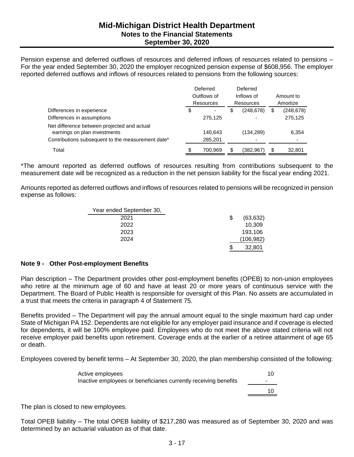Pension expense and deferred outflows of resources and deferred inflows of resources related to pensions – For the year ended September 30, 2020 the employer recognized pension expense of \$608,956. The employer reported deferred outflows and inflows of resources related to pensions from the following sources:

|                                                   |             | Deferred         |   | Deferred   |           |            |
|---------------------------------------------------|-------------|------------------|---|------------|-----------|------------|
|                                                   | Outflows of |                  |   | Inflows of | Amount to |            |
|                                                   |             | <b>Resources</b> |   | Resources  |           | Amortize   |
| Differences in experience                         | \$          | ٠                | S | (248, 678) | S         | (248, 678) |
| Differences in assumptions                        |             | 275,125          |   |            |           | 275,125    |
| Net difference between projected and actual       |             |                  |   |            |           |            |
| earnings on plan investments                      |             | 140.643          |   | (134, 289) |           | 6,354      |
| Contributions subsequent to the measurement date* |             | 285,201          |   |            |           |            |
| Total                                             |             | 700,969          |   | (382,967   |           | 32,801     |

\*The amount reported as deferred outflows of resources resulting from contributions subsequent to the measurement date will be recognized as a reduction in the net pension liability for the fiscal year ending 2021.

Amounts reported as deferred outflows and inflows of resources related to pensions will be recognized in pension expense as follows:

| Year ended September 30, |    |            |
|--------------------------|----|------------|
| 2021                     | \$ | (63, 632)  |
| 2022                     |    | 10,309     |
| 2023                     |    | 193,106    |
| 2024                     |    | (106, 982) |
|                          | S  | 32,801     |

## **Note 9 - Other Post-employment Benefits**

Plan description – The Department provides other post-employment benefits (OPEB) to non-union employees who retire at the minimum age of 60 and have at least 20 or more years of continuous service with the Department. The Board of Public Health is responsible for oversight of this Plan. No assets are accumulated in a trust that meets the criteria in paragraph 4 of Statement 75.

Benefits provided – The Department will pay the annual amount equal to the single maximum hard cap under State of Michigan PA 152. Dependents are not eligible for any employer paid insurance and if coverage is elected for dependents, it will be 100% employee paid. Employees who do not meet the above stated criteria will not receive employer paid benefits upon retirement. Coverage ends at the earlier of a retiree attainment of age 65 or death.

Employees covered by benefit terms – At September 30, 2020, the plan membership consisted of the following:

| Active employees                                                 | 10                       |
|------------------------------------------------------------------|--------------------------|
| Inactive employees or beneficiaries currently receiving benefits | $\overline{\phantom{a}}$ |
|                                                                  | 10                       |

The plan is closed to new employees.

Total OPEB liability – The total OPEB liability of \$217,280 was measured as of September 30, 2020 and was determined by an actuarial valuation as of that date.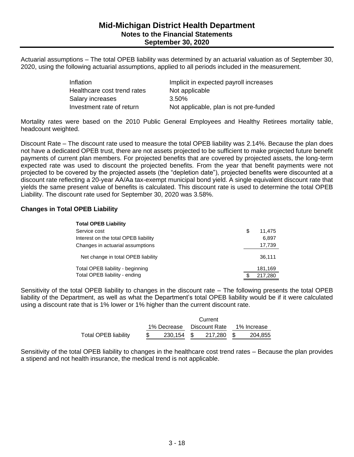## **Mid-Michigan District Health Department Notes to the Financial Statements September 30, 2020**

Actuarial assumptions – The total OPEB liability was determined by an actuarial valuation as of September 30, 2020, using the following actuarial assumptions, applied to all periods included in the measurement.

| Inflation                   |
|-----------------------------|
| Healthcare cost trend rates |
| Salary increases            |
| Investment rate of return   |

Implicit in expected payroll increases Not applicable  $3.50%$ Not applicable, plan is not pre-funded

Mortality rates were based on the 2010 Public General Employees and Healthy Retirees mortality table, headcount weighted.

Discount Rate – The discount rate used to measure the total OPEB liability was 2.14%. Because the plan does not have a dedicated OPEB trust, there are not assets projected to be sufficient to make projected future benefit payments of current plan members. For projected benefits that are covered by projected assets, the long-term expected rate was used to discount the projected benefits. From the year that benefit payments were not projected to be covered by the projected assets (the "depletion date"), projected benefits were discounted at a discount rate reflecting a 20-year AA/Aa tax-exempt municipal bond yield. A single equivalent discount rate that yields the same present value of benefits is calculated. This discount rate is used to determine the total OPEB Liability. The discount rate used for September 30, 2020 was 3.58%.

## **Changes in Total OPEB Liability**

| <b>Total OPEB Liability</b>          |   |         |
|--------------------------------------|---|---------|
| Service cost                         | S | 11,475  |
| Interest on the total OPEB liability |   | 6,897   |
| Changes in actuarial assumptions     |   | 17,739  |
| Net change in total OPEB liability   |   | 36,111  |
| Total OPEB liability - beginning     |   | 181,169 |
| Total OPEB liability - ending        |   | 217.280 |

Sensitivity of the total OPEB liability to changes in the discount rate – The following presents the total OPEB liability of the Department, as well as what the Department's total OPEB liability would be if it were calculated using a discount rate that is 1% lower or 1% higher than the current discount rate.

|                             |             | Current       |             |
|-----------------------------|-------------|---------------|-------------|
|                             | 1% Decrease | Discount Rate | 1% Increase |
| <b>Total OPEB liability</b> | 230.154 \$  | 217.280 \$    | 204,855     |

Sensitivity of the total OPEB liability to changes in the healthcare cost trend rates – Because the plan provides a stipend and not health insurance, the medical trend is not applicable.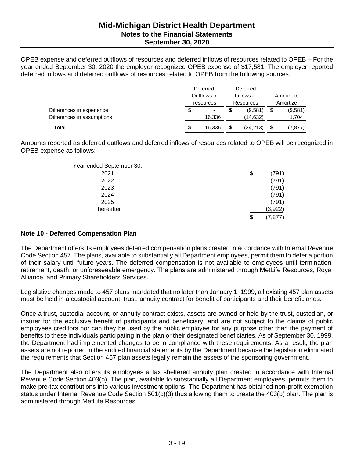OPEB expense and deferred outflows of resources and deferred inflows of resources related to OPEB – For the year ended September 30, 2020 the employer recognized OPEB expense of \$17,581. The employer reported deferred inflows and deferred outflows of resources related to OPEB from the following sources:

|                            |    | Deferred    |  | Deferred   |   |           |
|----------------------------|----|-------------|--|------------|---|-----------|
|                            |    | Outflows of |  | Inflows of |   | Amount to |
|                            |    | resources   |  |            |   | Amortize  |
| Differences in experience  | \$ | ٠           |  | (9.581)    |   | (9,581)   |
| Differences in assumptions |    | 16,336      |  | (14,632)   |   | 1,704     |
| Total                      | S  | 16,336      |  | (24, 213)  | S | (7,877)   |

Amounts reported as deferred outflows and deferred inflows of resources related to OPEB will be recognized in OPEB expense as follows:

| Year ended September 30, |                |
|--------------------------|----------------|
| 2021                     | \$<br>(791)    |
| 2022                     | (791)          |
| 2023                     | (791)          |
| 2024                     | (791)          |
| 2025                     | (791)          |
| Thereafter               | (3,922)        |
|                          | \$<br>(7, 877) |

## **Note 10 - Deferred Compensation Plan**

The Department offers its employees deferred compensation plans created in accordance with Internal Revenue Code Section 457. The plans, available to substantially all Department employees, permit them to defer a portion of their salary until future years. The deferred compensation is not available to employees until termination, retirement, death, or unforeseeable emergency. The plans are administered through MetLife Resources, Royal Alliance, and Primary Shareholders Services.

Legislative changes made to 457 plans mandated that no later than January 1, 1999, all existing 457 plan assets must be held in a custodial account, trust, annuity contract for benefit of participants and their beneficiaries.

Once a trust, custodial account, or annuity contract exists, assets are owned or held by the trust, custodian, or insurer for the exclusive benefit of participants and beneficiary, and are not subject to the claims of public employees creditors nor can they be used by the public employee for any purpose other than the payment of benefits to these individuals participating in the plan or their designated beneficiaries. As of September 30, 1999, the Department had implemented changes to be in compliance with these requirements. As a result, the plan assets are not reported in the audited financial statements by the Department because the legislation eliminated the requirements that Section 457 plan assets legally remain the assets of the sponsoring government.

The Department also offers its employees a tax sheltered annuity plan created in accordance with Internal Revenue Code Section 403(b). The plan, available to substantially all Department employees, permits them to make pre-tax contributions into various investment options. The Department has obtained non-profit exemption status under Internal Revenue Code Section 501(c)(3) thus allowing them to create the 403(b) plan. The plan is administered through MetLife Resources.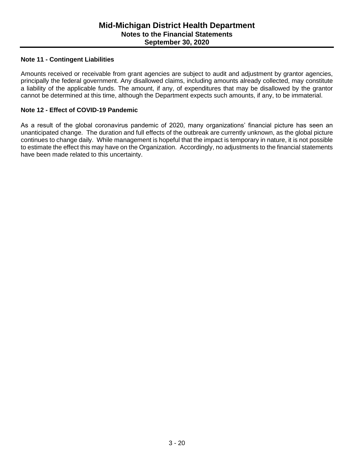## **Note 11 - Contingent Liabilities**

Amounts received or receivable from grant agencies are subject to audit and adjustment by grantor agencies, principally the federal government. Any disallowed claims, including amounts already collected, may constitute a liability of the applicable funds. The amount, if any, of expenditures that may be disallowed by the grantor cannot be determined at this time, although the Department expects such amounts, if any, to be immaterial.

## **Note 12 - Effect of COVID-19 Pandemic**

As a result of the global coronavirus pandemic of 2020, many organizations' financial picture has seen an unanticipated change. The duration and full effects of the outbreak are currently unknown, as the global picture continues to change daily. While management is hopeful that the impact is temporary in nature, it is not possible to estimate the effect this may have on the Organization. Accordingly, no adjustments to the financial statements have been made related to this uncertainty.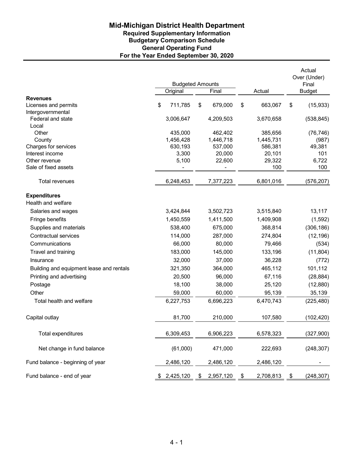## **For the Year Ended September 30, 2020 Mid-Michigan District Health Department Required Supplementary Information Budgetary Comparison Schedule General Operating Fund**

|                                          |                 |                                  |                 | Actual<br>Over (Under) |
|------------------------------------------|-----------------|----------------------------------|-----------------|------------------------|
|                                          | Original        | <b>Budgeted Amounts</b><br>Final | Actual          | Final<br><b>Budget</b> |
| <b>Revenues</b>                          |                 |                                  |                 |                        |
| Licenses and permits                     | \$<br>711,785   | 679,000<br>\$                    | \$<br>663,067   | \$<br>(15, 933)        |
| Intergovernmental                        |                 |                                  |                 |                        |
| Federal and state                        | 3,006,647       | 4,209,503                        | 3,670,658       | (538, 845)             |
| Local<br>Other                           | 435,000         | 462,402                          | 385,656         |                        |
| County                                   | 1,456,428       | 1,446,718                        | 1,445,731       | (76, 746)<br>(987)     |
| Charges for services                     | 630,193         | 537,000                          | 586,381         | 49,381                 |
| Interest income                          | 3,300           | 20,000                           | 20,101          | 101                    |
| Other revenue                            | 5,100           | 22,600                           | 29,322          | 6,722                  |
| Sale of fixed assets                     |                 |                                  | 100             | 100                    |
| <b>Total revenues</b>                    | 6,248,453       | 7,377,223                        | 6,801,016       | (576, 207)             |
| <b>Expenditures</b>                      |                 |                                  |                 |                        |
| Health and welfare                       |                 |                                  |                 |                        |
| Salaries and wages                       | 3,424,844       | 3,502,723                        | 3,515,840       | 13,117                 |
| Fringe benefits                          | 1,450,559       | 1,411,500                        | 1,409,908       | (1,592)                |
| Supplies and materials                   | 538,400         | 675,000                          | 368,814         | (306, 186)             |
| <b>Contractual services</b>              | 114,000         | 287,000                          | 274,804         | (12, 196)              |
| Communications                           | 66,000          | 80,000                           | 79,466          | (534)                  |
| Travel and training                      | 183,000         | 145,000                          | 133,196         | (11, 804)              |
| Insurance                                | 32,000          | 37,000                           | 36,228          | (772)                  |
| Building and equipment lease and rentals | 321,350         | 364,000                          | 465,112         | 101,112                |
| Printing and advertising                 | 20,500          | 96,000                           | 67,116          | (28, 884)              |
| Postage                                  | 18,100          | 38,000                           | 25,120          | (12,880)               |
| Other                                    | 59,000          | 60,000                           | 95,139          | 35,139                 |
| Total health and welfare                 | 6,227,753       | 6,696,223                        | 6,470,743       | (225, 480)             |
| Capital outlay                           | 81,700          | 210,000                          | 107,580         | (102, 420)             |
|                                          |                 |                                  |                 |                        |
| Total expenditures                       | 6,309,453       | 6,906,223                        | 6,578,323       | (327,900)              |
| Net change in fund balance               | (61,000)        | 471,000                          | 222,693         | (248, 307)             |
| Fund balance - beginning of year         | 2,486,120       | 2,486,120                        | 2,486,120       |                        |
| Fund balance - end of year               | 2,425,120<br>\$ | 2,957,120<br>\$                  | \$<br>2,708,813 | \$<br>(248, 307)       |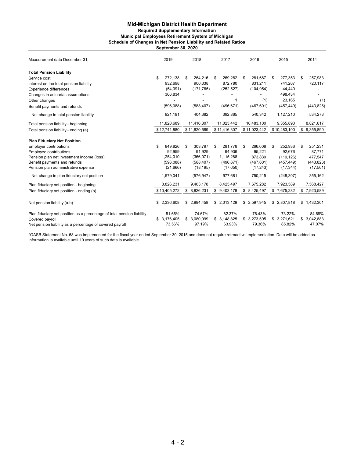#### **Municipal Employees Retirement System of Michigan Mid-Michigan District Health Department Required Supplementary Information Schedule of Changes in Net Pension Liability and Related Ratios September 30, 2020**

| Measurement date December 31,                                                                                                                         | 2019                            |    | 2018                          |    | 2017                            |    | 2016                            |    | 2015                          |      | 2014                            |
|-------------------------------------------------------------------------------------------------------------------------------------------------------|---------------------------------|----|-------------------------------|----|---------------------------------|----|---------------------------------|----|-------------------------------|------|---------------------------------|
| <b>Total Pension Liability</b>                                                                                                                        |                                 |    |                               |    |                                 |    |                                 |    |                               |      |                                 |
| Service cost                                                                                                                                          | \$<br>272,138                   | S  | 264,216                       | S  | 269,282                         | S  | 281,687                         | S  | 277,353                       | - \$ | 257,983                         |
| Interest on the total pension liability                                                                                                               | 932.698                         |    | 900.338                       |    | 872,780                         |    | 831.211                         |    | 741.267                       |      | 720,117                         |
| Experience differences                                                                                                                                | (54, 391)                       |    | (171, 765)                    |    | (252, 527)                      |    | (104, 954)                      |    | 44,440                        |      |                                 |
| Changes in actuarial assumptions                                                                                                                      | 366,834                         |    |                               |    |                                 |    |                                 |    | 498,434                       |      |                                 |
| Other changes                                                                                                                                         |                                 |    |                               |    |                                 |    | (1)                             |    | 23,165                        |      | (1)                             |
| Benefit payments and refunds                                                                                                                          | (596,088)                       |    | (588, 407)                    |    | (496, 671)                      |    | (467, 601)                      |    | (457, 449)                    |      | (443, 826)                      |
| Net change in total pension liability                                                                                                                 | 921,191                         |    | 404,382                       |    | 392,865                         |    | 540,342                         |    | 1,127,210                     |      | 534,273                         |
| Total pension liability - beginning                                                                                                                   | 11,820,689                      |    | 11,416,307                    |    | 11,023,442                      |    | 10,483,100                      |    | 9,355,890                     |      | 8,821,617                       |
| Total pension liability - ending (a)                                                                                                                  | \$12,741,880                    |    | \$11,820,689                  |    | \$11,416,307                    |    | \$11,023,442                    |    | \$10,483,100                  |      | \$9,355,890                     |
| <b>Plan Fiduciary Net Position</b>                                                                                                                    |                                 |    |                               |    |                                 |    |                                 |    |                               |      |                                 |
| <b>Employer contributions</b>                                                                                                                         | \$<br>849.826                   | \$ | 303.797                       | \$ | 281,778                         | \$ | 266,008                         | \$ | 252,936                       | \$   | 251,231                         |
| Employee contributions                                                                                                                                | 92.959                          |    | 91.929                        |    | 94,936                          |    | 95.221                          |    | 92.676                        |      | 87,771                          |
| Pension plan net investment income (loss)                                                                                                             | 1,254,010                       |    | (366,071)                     |    | 1,115,288                       |    | 873,830                         |    | (119, 126)                    |      | 477,547                         |
| Benefit payments and refunds                                                                                                                          | (596,088)                       |    | (588, 407)                    |    | (496, 671)                      |    | (467, 601)                      |    | (457, 449)                    |      | (443, 826)                      |
| Pension plan administrative expense                                                                                                                   | (21,666)                        |    | (18, 195)                     |    | (17, 650)                       |    | (17, 243)                       |    | (17, 344)                     |      | (17, 561)                       |
| Net change in plan fiduciary net position                                                                                                             | 1,579,041                       |    | (576, 947)                    |    | 977,681                         |    | 750,215                         |    | (248, 307)                    |      | 355,162                         |
| Plan fiduciary net position - beginning                                                                                                               | 8,826,231                       |    | 9,403,178                     |    | 8,425,497                       |    | 7,675,282                       |    | 7,923,589                     |      | 7,568,427                       |
| Plan fiduciary net position - ending (b)                                                                                                              | \$10,405,272                    |    | \$8,826,231                   |    | \$9,403,178                     |    | \$8,425,497                     |    | \$7,675,282                   |      | \$7,923,589                     |
| Net pension liability (a-b)                                                                                                                           | 2,336,608                       |    | \$2,994,458                   |    | \$2,013,129                     |    | \$2,597,945                     |    | \$2,807,818                   |      | \$1,432,301                     |
| Plan fiduciary net position as a percentage of total pension liability<br>Covered payroll<br>Net pension liability as a percentage of covered payroll | 81.66%<br>\$3,176,405<br>73.56% | \$ | 74.67%<br>3,080,999<br>97.19% |    | 82.37%<br>\$3,148,825<br>63.93% |    | 76.43%<br>\$3,273,595<br>79.36% |    | 73.22%<br>3,271,621<br>85.82% |      | 84.69%<br>\$3,042,883<br>47.07% |

\*GASB Statement No. 68 was implemented for the fiscal year ended September 30, 2015 and does not require retroactive implementation. Data will be added as information is available until 10 years of such data is available.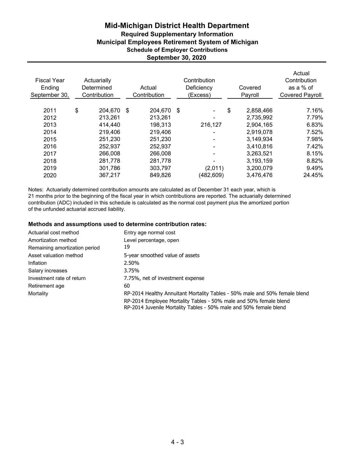## **September 30, 2020 Municipal Employees Retirement System of Michigan Required Supplementary Information Mid-Michigan District Health Department Schedule of Employer Contributions**

| <b>Fiscal Year</b><br>Ending<br>September 30, | Actuarially<br>Determined<br>Contribution | Actual<br>Contribution | Contribution<br>Deficiency<br>(Excess) | Covered<br>Payroll | Actual<br>Contribution<br>as a % of<br><b>Covered Payroll</b> |
|-----------------------------------------------|-------------------------------------------|------------------------|----------------------------------------|--------------------|---------------------------------------------------------------|
| 2011                                          | \$<br>204,670                             | \$<br>204,670          | \$                                     | \$<br>2,858,466    | 7.16%                                                         |
| 2012                                          | 213,261                                   | 213,261                |                                        | 2,735,992          | 7.79%                                                         |
| 2013                                          | 414,440                                   | 198,313                | 216,127                                | 2,904,165          | 6.83%                                                         |
| 2014                                          | 219,406                                   | 219,406                |                                        | 2,919,078          | 7.52%                                                         |
| 2015                                          | 251,230                                   | 251,230                |                                        | 3,149,934          | 7.98%                                                         |
| 2016                                          | 252,937                                   | 252.937                |                                        | 3,410,816          | 7.42%                                                         |
| 2017                                          | 266,008                                   | 266,008                |                                        | 3,263,521          | 8.15%                                                         |
| 2018                                          | 281,778                                   | 281,778                |                                        | 3,193,159          | 8.82%                                                         |
| 2019                                          | 301,786                                   | 303,797                | (2,011)                                | 3,200,079          | 9.49%                                                         |
| 2020                                          | 367,217                                   | 849,826                | (482,609)                              | 3,476,476          | 24.45%                                                        |

Notes: Actuarially determined contribution amounts are calculated as of December 31 each year, which is 21 months prior to the beginning of the fiscal year in which contributions are reported. The actuarially determined contribution (ADC) included in this schedule is calculated as the normal cost payment plus the amortized portion of the unfunded actuarial accrued liability.

#### **Methods and assumptions used to determine contribution rates:**

| Actuarial cost method         | Entry age normal cost                                                                                                                  |
|-------------------------------|----------------------------------------------------------------------------------------------------------------------------------------|
| Amortization method           | Level percentage, open                                                                                                                 |
| Remaining amortization period | 19                                                                                                                                     |
| Asset valuation method        | 5-year smoothed value of assets                                                                                                        |
| Inflation                     | 2.50%                                                                                                                                  |
| Salary increases              | 3.75%                                                                                                                                  |
| Investment rate of return     | 7.75%, net of investment expense                                                                                                       |
| Retirement age                | 60                                                                                                                                     |
| Mortality                     | RP-2014 Healthy Annuitant Mortality Tables - 50% male and 50% female blend                                                             |
|                               | RP-2014 Employee Mortality Tables - 50% male and 50% female blend<br>RP-2014 Juvenile Mortality Tables - 50% male and 50% female blend |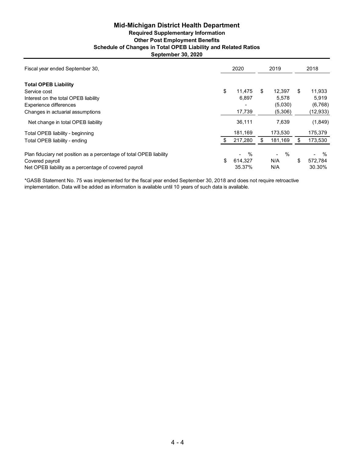#### **Mid-Michigan District Health Department Required Supplementary Information Other Post Employment Benefits Schedule of Changes in Total OPEB Liability and Related Ratios September 30, 2020**

| Fiscal year ended September 30,                                     | 2020                     | 2019          | 2018 |           |  |
|---------------------------------------------------------------------|--------------------------|---------------|------|-----------|--|
| <b>Total OPEB Liability</b>                                         |                          |               |      |           |  |
| Service cost                                                        | \$<br>11.475             | \$<br>12.397  | S    | 11,933    |  |
| Interest on the total OPEB liability                                | 6.897                    | 5,578         |      | 5,919     |  |
| Experience differences                                              | $\overline{\phantom{0}}$ | (5,030)       |      | (6, 768)  |  |
| Changes in actuarial assumptions                                    | 17,739                   | (5,306)       |      | (12, 933) |  |
| Net change in total OPEB liability                                  | 36,111                   | 7,639         |      | (1,849)   |  |
| Total OPEB liability - beginning                                    | 181.169                  | 173,530       |      | 175,379   |  |
| Total OPEB liability - ending                                       | 217,280                  | \$<br>181,169 |      | 173,530   |  |
| Plan fiduciary net position as a percentage of total OPEB liability | $\%$                     | $\%$          |      | %         |  |
| Covered payroll                                                     | \$<br>614.327            | N/A           | \$   | 572,784   |  |
| Net OPEB liability as a percentage of covered payroll               | 35.37%                   | N/A           |      | 30.30%    |  |

\*GASB Statement No. 75 was implemented for the fiscal year ended September 30, 2018 and does not require retroactive implementation. Data will be added as information is available until 10 years of such data is available.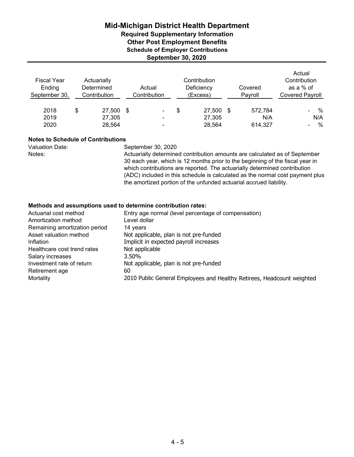## **Mid-Michigan District Health Department Required Supplementary Information Other Post Employment Benefits Schedule of Employer Contributions September 30, 2020**

| <b>Fiscal Year</b><br>Ending<br>September 30, | Actuarially<br>Determined<br>Contribution | Actual<br>Contribution | Contribution<br>Deficiency<br>(Excess) |      | Covered<br>Pavroll        | Actual<br>Contribution<br>as a % of<br><b>Covered Payroll</b> |
|-----------------------------------------------|-------------------------------------------|------------------------|----------------------------------------|------|---------------------------|---------------------------------------------------------------|
| 2018<br>2019<br>2020                          | \$<br>27,500 \$<br>27,305<br>28,564       | -                      | \$<br>27,500<br>27,305<br>28,564       | - \$ | 572,784<br>N/A<br>614,327 | $\%$<br>N/A<br>$\%$<br>$\blacksquare$                         |

#### **Notes to Schedule of Contributions**

Notes:

Valuation Date: September 30, 2020

Actuarially determined contribution amounts are calculated as of September 30 each year, which is 12 months prior to the beginning of the fiscal year in which contributions are reported. The actuarially determined contribution (ADC) included in this schedule is calculated as the normal cost payment plus the amortized portion of the unfunded actuarial accrued liability.

#### **Methods and assumptions used to determine contribution rates:**

| Actuarial cost method         | Entry age normal (level percentage of compensation)                    |
|-------------------------------|------------------------------------------------------------------------|
| Amortization method           | Level dollar                                                           |
| Remaining amortization period | 14 years                                                               |
| Asset valuation method        | Not applicable, plan is not pre-funded                                 |
| Inflation                     | Implicit in expected payroll increases                                 |
| Healthcare cost trend rates   | Not applicable                                                         |
| Salary increases              | 3.50%                                                                  |
| Investment rate of return     | Not applicable, plan is not pre-funded                                 |
| Retirement age                | 60                                                                     |
| Mortality                     | 2010 Public General Employees and Healthy Retirees, Headcount weighted |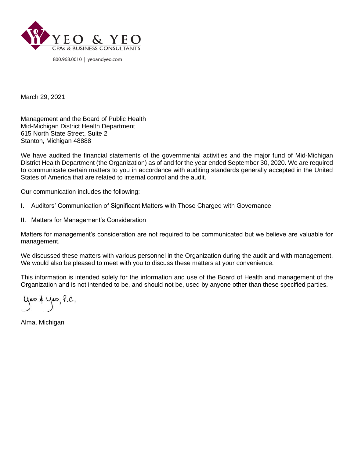

March 29, 2021

Management and the Board of Public Health Mid-Michigan District Health Department 615 North State Street, Suite 2 Stanton, Michigan 48888

We have audited the financial statements of the governmental activities and the major fund of Mid-Michigan District Health Department (the Organization) as of and for the year ended September 30, 2020. We are required to communicate certain matters to you in accordance with auditing standards generally accepted in the United States of America that are related to internal control and the audit.

Our communication includes the following:

- I. Auditors' Communication of Significant Matters with Those Charged with Governance
- II. Matters for Management's Consideration

Matters for management's consideration are not required to be communicated but we believe are valuable for management.

We discussed these matters with various personnel in the Organization during the audit and with management. We would also be pleased to meet with you to discuss these matters at your convenience.

This information is intended solely for the information and use of the Board of Health and management of the Organization and is not intended to be, and should not be, used by anyone other than these specified parties.

yeo & yeo, P.C.

Alma, Michigan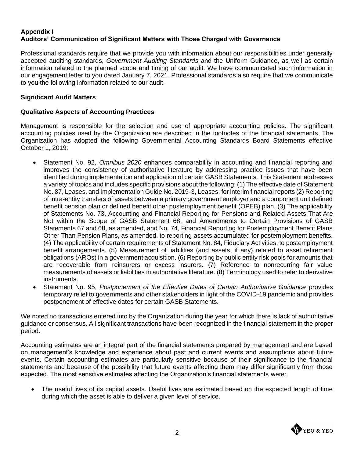#### **Appendix I Auditors' Communication of Significant Matters with Those Charged with Governance**

Professional standards require that we provide you with information about our responsibilities under generally accepted auditing standards, *Government Auditing Standards* and the Uniform Guidance, as well as certain information related to the planned scope and timing of our audit. We have communicated such information in our engagement letter to you dated January 7, 2021. Professional standards also require that we communicate to you the following information related to our audit.

## **Significant Audit Matters**

## **Qualitative Aspects of Accounting Practices**

Management is responsible for the selection and use of appropriate accounting policies. The significant accounting policies used by the Organization are described in the footnotes of the financial statements. The Organization has adopted the following Governmental Accounting Standards Board Statements effective October 1, 2019:

- Statement No. 92, *Omnibus 2020* enhances comparability in accounting and financial reporting and improves the consistency of authoritative literature by addressing practice issues that have been identified during implementation and application of certain GASB Statements. This Statement addresses a variety of topics and includes specific provisions about the following: (1) The effective date of Statement No. 87, Leases, and Implementation Guide No. 2019-3, Leases, for interim financial reports (2) Reporting of intra-entity transfers of assets between a primary government employer and a component unit defined benefit pension plan or defined benefit other postemployment benefit (OPEB) plan. (3) The applicability of Statements No. 73, Accounting and Financial Reporting for Pensions and Related Assets That Are Not within the Scope of GASB Statement 68, and Amendments to Certain Provisions of GASB Statements 67 and 68, as amended, and No. 74, Financial Reporting for Postemployment Benefit Plans Other Than Pension Plans, as amended, to reporting assets accumulated for postemployment benefits. (4) The applicability of certain requirements of Statement No. 84, Fiduciary Activities, to postemployment benefit arrangements. (5) Measurement of liabilities (and assets, if any) related to asset retirement obligations (AROs) in a government acquisition. (6) Reporting by public entity risk pools for amounts that are recoverable from reinsurers or excess insurers. (7) Reference to nonrecurring fair value measurements of assets or liabilities in authoritative literature. (8) Terminology used to refer to derivative instruments.
- Statement No. 95, *Postponement of the Effective Dates of Certain Authoritative Guidance* provides temporary relief to governments and other stakeholders in light of the COVID-19 pandemic and provides postponement of effective dates for certain GASB Statements.

We noted no transactions entered into by the Organization during the year for which there is lack of authoritative guidance or consensus. All significant transactions have been recognized in the financial statement in the proper period.

Accounting estimates are an integral part of the financial statements prepared by management and are based on management's knowledge and experience about past and current events and assumptions about future events. Certain accounting estimates are particularly sensitive because of their significance to the financial statements and because of the possibility that future events affecting them may differ significantly from those expected. The most sensitive estimates affecting the Organization's financial statements were:

• The useful lives of its capital assets. Useful lives are estimated based on the expected length of time during which the asset is able to deliver a given level of service.

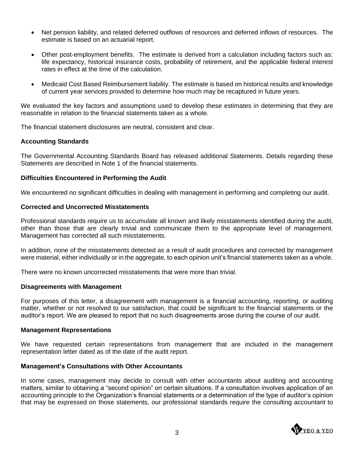- Net pension liability, and related deferred outflows of resources and deferred inflows of resources. The estimate is based on an actuarial report.
- Other post-employment benefits. The estimate is derived from a calculation including factors such as: life expectancy, historical insurance costs, probability of retirement, and the applicable federal interest rates in effect at the time of the calculation.
- Medicaid Cost Based Reimbursement liability. The estimate is based on historical results and knowledge of current year services provided to determine how much may be recaptured in future years.

We evaluated the key factors and assumptions used to develop these estimates in determining that they are reasonable in relation to the financial statements taken as a whole.

The financial statement disclosures are neutral, consistent and clear.

#### **Accounting Standards**

The Governmental Accounting Standards Board has released additional Statements. Details regarding these Statements are described in Note 1 of the financial statements.

#### **Difficulties Encountered in Performing the Audit**

We encountered no significant difficulties in dealing with management in performing and completing our audit.

#### **Corrected and Uncorrected Misstatements**

Professional standards require us to accumulate all known and likely misstatements identified during the audit, other than those that are clearly trivial and communicate them to the appropriate level of management. Management has corrected all such misstatements.

In addition, none of the misstatements detected as a result of audit procedures and corrected by management were material, either individually or in the aggregate, to each opinion unit's financial statements taken as a whole.

There were no known uncorrected misstatements that were more than trivial.

#### **Disagreements with Management**

For purposes of this letter, a disagreement with management is a financial accounting, reporting, or auditing matter, whether or not resolved to our satisfaction, that could be significant to the financial statements or the auditor's report. We are pleased to report that no such disagreements arose during the course of our audit.

#### **Management Representations**

We have requested certain representations from management that are included in the management representation letter dated as of the date of the audit report.

#### **Management's Consultations with Other Accountants**

In some cases, management may decide to consult with other accountants about auditing and accounting matters, similar to obtaining a "second opinion" on certain situations. If a consultation involves application of an accounting principle to the Organization's financial statements or a determination of the type of auditor's opinion that may be expressed on those statements, our professional standards require the consulting accountant to

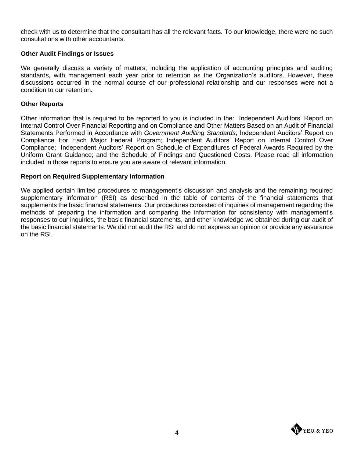check with us to determine that the consultant has all the relevant facts. To our knowledge, there were no such consultations with other accountants.

#### **Other Audit Findings or Issues**

We generally discuss a variety of matters, including the application of accounting principles and auditing standards, with management each year prior to retention as the Organization's auditors. However, these discussions occurred in the normal course of our professional relationship and our responses were not a condition to our retention.

#### **Other Reports**

Other information that is required to be reported to you is included in the: Independent Auditors' Report on Internal Control Over Financial Reporting and on Compliance and Other Matters Based on an Audit of Financial Statements Performed in Accordance with *Government Auditing Standards*; Independent Auditors' Report on Compliance For Each Major Federal Program; Independent Auditors' Report on Internal Control Over Compliance; Independent Auditors' Report on Schedule of Expenditures of Federal Awards Required by the Uniform Grant Guidance; and the Schedule of Findings and Questioned Costs. Please read all information included in those reports to ensure you are aware of relevant information.

#### **Report on Required Supplementary Information**

We applied certain limited procedures to management's discussion and analysis and the remaining required supplementary information (RSI) as described in the table of contents of the financial statements that supplements the basic financial statements. Our procedures consisted of inquiries of management regarding the methods of preparing the information and comparing the information for consistency with management's responses to our inquiries, the basic financial statements, and other knowledge we obtained during our audit of the basic financial statements. We did not audit the RSI and do not express an opinion or provide any assurance on the RSI.

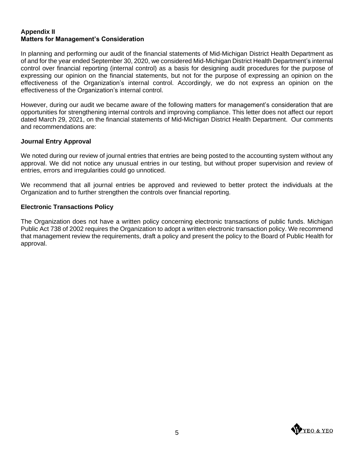### **Appendix II Matters for Management's Consideration**

In planning and performing our audit of the financial statements of Mid-Michigan District Health Department as of and for the year ended September 30, 2020, we considered Mid-Michigan District Health Department's internal control over financial reporting (internal control) as a basis for designing audit procedures for the purpose of expressing our opinion on the financial statements, but not for the purpose of expressing an opinion on the effectiveness of the Organization's internal control. Accordingly, we do not express an opinion on the effectiveness of the Organization's internal control.

However, during our audit we became aware of the following matters for management's consideration that are opportunities for strengthening internal controls and improving compliance. This letter does not affect our report dated March 29, 2021, on the financial statements of Mid-Michigan District Health Department. Our comments and recommendations are:

## **Journal Entry Approval**

We noted during our review of journal entries that entries are being posted to the accounting system without any approval. We did not notice any unusual entries in our testing, but without proper supervision and review of entries, errors and irregularities could go unnoticed.

We recommend that all journal entries be approved and reviewed to better protect the individuals at the Organization and to further strengthen the controls over financial reporting.

## **Electronic Transactions Policy**

The Organization does not have a written policy concerning electronic transactions of public funds. Michigan Public Act 738 of 2002 requires the Organization to adopt a written electronic transaction policy. We recommend that management review the requirements, draft a policy and present the policy to the Board of Public Health for approval.

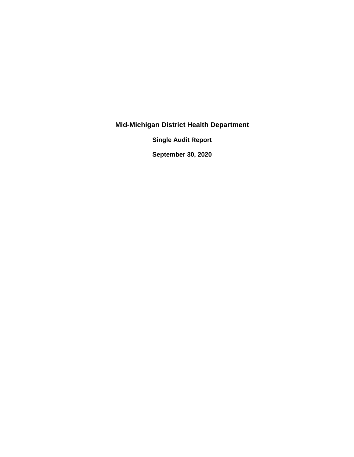**Mid-Michigan District Health Department**

**Single Audit Report**

**September 30, 2020**

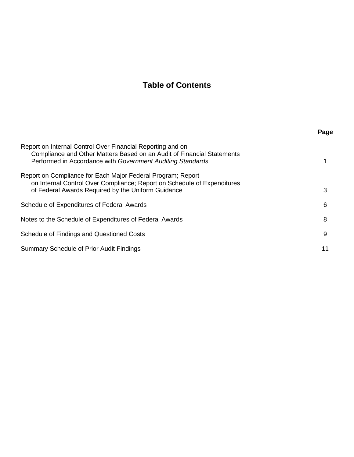# **Table of Contents**

|                                                                                                                                                                                                    | Page |
|----------------------------------------------------------------------------------------------------------------------------------------------------------------------------------------------------|------|
| Report on Internal Control Over Financial Reporting and on<br>Compliance and Other Matters Based on an Audit of Financial Statements<br>Performed in Accordance with Government Auditing Standards |      |
| Report on Compliance for Each Major Federal Program; Report<br>on Internal Control Over Compliance; Report on Schedule of Expenditures<br>of Federal Awards Required by the Uniform Guidance       | 3    |
| Schedule of Expenditures of Federal Awards                                                                                                                                                         | 6    |
| Notes to the Schedule of Expenditures of Federal Awards                                                                                                                                            | 8    |
| Schedule of Findings and Questioned Costs                                                                                                                                                          | 9    |
| <b>Summary Schedule of Prior Audit Findings</b>                                                                                                                                                    | 11   |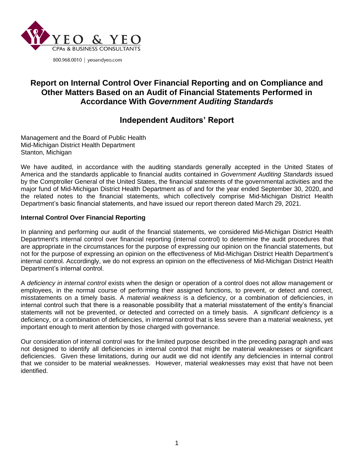

## **Report on Internal Control Over Financial Reporting and on Compliance and Other Matters Based on an Audit of Financial Statements Performed in Accordance With** *Government Auditing Standards*

# **Independent Auditors' Report**

Management and the Board of Public Health Mid-Michigan District Health Department Stanton, Michigan

We have audited, in accordance with the auditing standards generally accepted in the United States of America and the standards applicable to financial audits contained in *Government Auditing Standards* issued by the Comptroller General of the United States, the financial statements of the governmental activities and the major fund of Mid-Michigan District Health Department as of and for the year ended September 30, 2020, and the related notes to the financial statements, which collectively comprise Mid-Michigan District Health Department's basic financial statements, and have issued our report thereon dated March 29, 2021.

## **Internal Control Over Financial Reporting**

In planning and performing our audit of the financial statements, we considered Mid-Michigan District Health Department's internal control over financial reporting (internal control) to determine the audit procedures that are appropriate in the circumstances for the purpose of expressing our opinion on the financial statements, but not for the purpose of expressing an opinion on the effectiveness of Mid-Michigan District Health Department's internal control. Accordingly, we do not express an opinion on the effectiveness of Mid-Michigan District Health Department's internal control.

A *deficiency in internal control* exists when the design or operation of a control does not allow management or employees, in the normal course of performing their assigned functions, to prevent, or detect and correct, misstatements on a timely basis. A *material weakness* is a deficiency, or a combination of deficiencies, in internal control such that there is a reasonable possibility that a material misstatement of the entity's financial statements will not be prevented, or detected and corrected on a timely basis. A *significant deficiency* is a deficiency, or a combination of deficiencies, in internal control that is less severe than a material weakness, yet important enough to merit attention by those charged with governance.

Our consideration of internal control was for the limited purpose described in the preceding paragraph and was not designed to identify all deficiencies in internal control that might be material weaknesses or significant deficiencies. Given these limitations, during our audit we did not identify any deficiencies in internal control that we consider to be material weaknesses. However, material weaknesses may exist that have not been identified.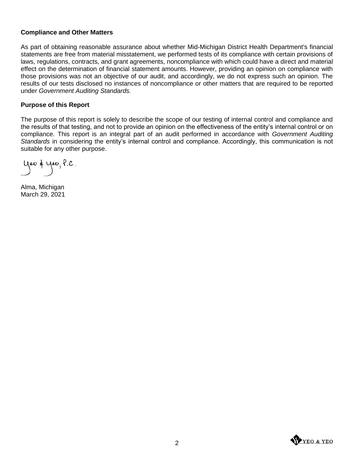### **Compliance and Other Matters**

As part of obtaining reasonable assurance about whether Mid-Michigan District Health Department's financial statements are free from material misstatement, we performed tests of its compliance with certain provisions of laws, regulations, contracts, and grant agreements, noncompliance with which could have a direct and material effect on the determination of financial statement amounts. However, providing an opinion on compliance with those provisions was not an objective of our audit, and accordingly, we do not express such an opinion. The results of our tests disclosed no instances of noncompliance or other matters that are required to be reported under *Government Auditing Standards.*

### **Purpose of this Report**

The purpose of this report is solely to describe the scope of our testing of internal control and compliance and the results of that testing, and not to provide an opinion on the effectiveness of the entity's internal control or on compliance. This report is an integral part of an audit performed in accordance with *Government Auditing Standards* in considering the entity's internal control and compliance. Accordingly, this communication is not suitable for any other purpose.

Yeo & yeo, P.C.

Alma, Michigan March 29, 2021

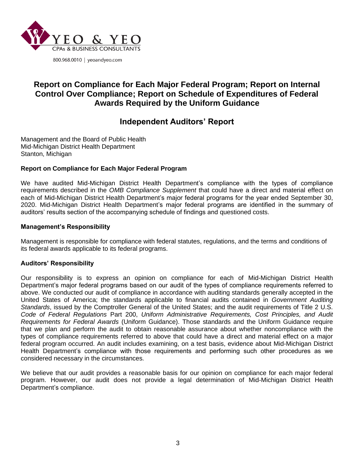

## **Report on Compliance for Each Major Federal Program; Report on Internal Control Over Compliance; Report on Schedule of Expenditures of Federal Awards Required by the Uniform Guidance**

# **Independent Auditors' Report**

Management and the Board of Public Health Mid-Michigan District Health Department Stanton, Michigan

## **Report on Compliance for Each Major Federal Program**

We have audited Mid-Michigan District Health Department's compliance with the types of compliance requirements described in the *OMB Compliance Supplement* that could have a direct and material effect on each of Mid-Michigan District Health Department's major federal programs for the year ended September 30, 2020. Mid-Michigan District Health Department's major federal programs are identified in the summary of auditors' results section of the accompanying schedule of findings and questioned costs.

### **Management's Responsibility**

Management is responsible for compliance with federal statutes, regulations, and the terms and conditions of its federal awards applicable to its federal programs.

## **Auditors' Responsibility**

Our responsibility is to express an opinion on compliance for each of Mid-Michigan District Health Department's major federal programs based on our audit of the types of compliance requirements referred to above. We conducted our audit of compliance in accordance with auditing standards generally accepted in the United States of America; the standards applicable to financial audits contained in *Government Auditing Standards*, issued by the Comptroller General of the United States; and the audit requirements of Title 2 U.S. *Code of Federal Regulations* Part 200, *Uniform Administrative Requirements, Cost Principles, and Audit Requirements for Federal Awards* (Uniform Guidance). Those standards and the Uniform Guidance require that we plan and perform the audit to obtain reasonable assurance about whether noncompliance with the types of compliance requirements referred to above that could have a direct and material effect on a major federal program occurred. An audit includes examining, on a test basis, evidence about Mid-Michigan District Health Department's compliance with those requirements and performing such other procedures as we considered necessary in the circumstances.

We believe that our audit provides a reasonable basis for our opinion on compliance for each major federal program. However, our audit does not provide a legal determination of Mid-Michigan District Health Department's compliance.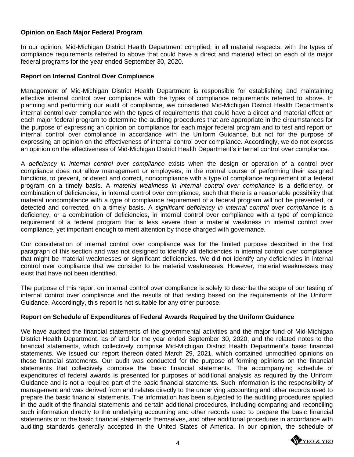## **Opinion on Each Major Federal Program**

In our opinion, Mid-Michigan District Health Department complied, in all material respects, with the types of compliance requirements referred to above that could have a direct and material effect on each of its major federal programs for the year ended September 30, 2020.

## **Report on Internal Control Over Compliance**

Management of Mid-Michigan District Health Department is responsible for establishing and maintaining effective internal control over compliance with the types of compliance requirements referred to above. In planning and performing our audit of compliance, we considered Mid-Michigan District Health Department's internal control over compliance with the types of requirements that could have a direct and material effect on each major federal program to determine the auditing procedures that are appropriate in the circumstances for the purpose of expressing an opinion on compliance for each major federal program and to test and report on internal control over compliance in accordance with the Uniform Guidance, but not for the purpose of expressing an opinion on the effectiveness of internal control over compliance. Accordingly, we do not express an opinion on the effectiveness of Mid-Michigan District Health Department's internal control over compliance.

A *deficiency in internal control over compliance* exists when the design or operation of a control over compliance does not allow management or employees, in the normal course of performing their assigned functions, to prevent, or detect and correct, noncompliance with a type of compliance requirement of a federal program on a timely basis. A *material weakness in internal control over compliance* is a deficiency, or combination of deficiencies, in internal control over compliance, such that there is a reasonable possibility that material noncompliance with a type of compliance requirement of a federal program will not be prevented, or detected and corrected, on a timely basis. A *significant deficiency in internal control over compliance* is a deficiency, or a combination of deficiencies, in internal control over compliance with a type of compliance requirement of a federal program that is less severe than a material weakness in internal control over compliance, yet important enough to merit attention by those charged with governance.

Our consideration of internal control over compliance was for the limited purpose described in the first paragraph of this section and was not designed to identify all deficiencies in internal control over compliance that might be material weaknesses or significant deficiencies. We did not identify any deficiencies in internal control over compliance that we consider to be material weaknesses. However, material weaknesses may exist that have not been identified.

The purpose of this report on internal control over compliance is solely to describe the scope of our testing of internal control over compliance and the results of that testing based on the requirements of the Uniform Guidance. Accordingly, this report is not suitable for any other purpose.

## **Report on Schedule of Expenditures of Federal Awards Required by the Uniform Guidance**

We have audited the financial statements of the governmental activities and the major fund of Mid-Michigan District Health Department, as of and for the year ended September 30, 2020, and the related notes to the financial statements, which collectively comprise Mid-Michigan District Health Department's basic financial statements. We issued our report thereon dated March 29, 2021, which contained unmodified opinions on those financial statements. Our audit was conducted for the purpose of forming opinions on the financial statements that collectively comprise the basic financial statements. The accompanying schedule of expenditures of federal awards is presented for purposes of additional analysis as required by the Uniform Guidance and is not a required part of the basic financial statements. Such information is the responsibility of management and was derived from and relates directly to the underlying accounting and other records used to prepare the basic financial statements. The information has been subjected to the auditing procedures applied in the audit of the financial statements and certain additional procedures, including comparing and reconciling such information directly to the underlying accounting and other records used to prepare the basic financial statements or to the basic financial statements themselves, and other additional procedures in accordance with auditing standards generally accepted in the United States of America. In our opinion, the schedule of

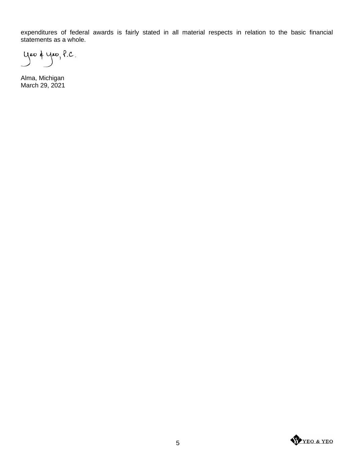expenditures of federal awards is fairly stated in all material respects in relation to the basic financial statements as a whole.

Yeo & yeo, P.C.

Alma, Michigan March 29, 2021

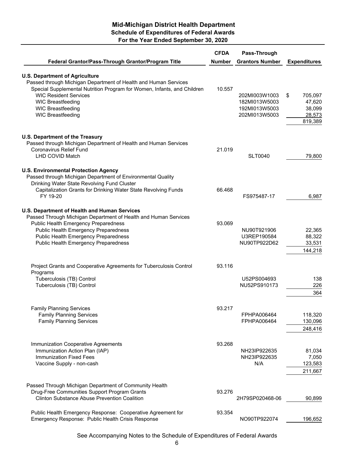## **Mid-Michigan District Health Department Schedule of Expenditures of Federal Awards For the Year Ended September 30, 2020**

| Federal Grantor/Pass-Through Grantor/Program Title                                                                                                                                                                                                                                                      | <b>CFDA</b><br><b>Number</b> | Pass-Through<br><b>Grantors Number</b>                           | <b>Expenditures</b>                                    |
|---------------------------------------------------------------------------------------------------------------------------------------------------------------------------------------------------------------------------------------------------------------------------------------------------------|------------------------------|------------------------------------------------------------------|--------------------------------------------------------|
| <b>U.S. Department of Agriculture</b><br>Passed through Michigan Department of Health and Human Services<br>Special Supplemental Nutrition Program for Women, Infants, and Children<br><b>WIC Resident Services</b><br><b>WIC Breastfeeding</b><br><b>WIC Breastfeeding</b><br><b>WIC Breastfeeding</b> | 10.557                       | 202MI003W1003<br>182MI013W5003<br>192MI013W5003<br>202MI013W5003 | 705,097<br>\$<br>47,620<br>38,099<br>28,573<br>819,389 |
| U.S. Department of the Treasury<br>Passed through Michigan Department of Health and Human Services<br><b>Coronavirus Relief Fund</b><br><b>LHD COVID Match</b>                                                                                                                                          | 21.019                       | <b>SLT0040</b>                                                   | 79,800                                                 |
| <b>U.S. Environmental Protection Agency</b><br>Passed through Michigan Department of Environmental Quality<br>Drinking Water State Revolving Fund Cluster<br>Capitalization Grants for Drinking Water State Revolving Funds<br>FY 19-20                                                                 | 66.468                       | FS975487-17                                                      | 6,987                                                  |
| U.S. Department of Health and Human Services<br>Passed Through Michigan Department of Health and Human Services<br>Public Health Emergency Preparedness<br>Public Health Emergency Preparedness<br>Public Health Emergency Preparedness<br>Public Health Emergency Preparedness                         | 93.069                       | NU90T921906<br>U3REP190584<br>NU90TP922D62                       | 22,365<br>88,322<br>33,531<br>144,218                  |
| Project Grants and Cooperative Agreements for Tuberculosis Control<br>Programs<br>Tuberculosis (TB) Control<br>Tuberculosis (TB) Control                                                                                                                                                                | 93.116                       | U52PS004693<br>NU52PS910173                                      | 138<br>226<br>364                                      |
| <b>Family Planning Services</b><br><b>Family Planning Services</b><br><b>Family Planning Services</b>                                                                                                                                                                                                   | 93.217                       | FPHPA006464<br>FPHPA006464                                       | 118,320<br>130,096<br>248,416                          |
| Immunization Cooperative Agreements<br>Immunization Action Plan (IAP)<br><b>Immunization Fixed Fees</b><br>Vaccine Supply - non-cash                                                                                                                                                                    | 93.268                       | NH23IP922635<br>NH23IP922635<br>N/A                              | 81,034<br>7,050<br>123,583<br>211,667                  |
| Passed Through Michigan Department of Community Health<br>Drug-Free Communities Support Program Grants<br><b>Clinton Substance Abuse Prevention Coalition</b>                                                                                                                                           | 93.276                       | 2H79SP020468-06                                                  | 90,899                                                 |
| Public Health Emergency Response: Cooperative Agreement for<br>Emergency Response: Public Health Crisis Response                                                                                                                                                                                        | 93.354                       | NO90TP922074                                                     | 196,652                                                |

See Accompanying Notes to the Schedule of Expenditures of Federal Awards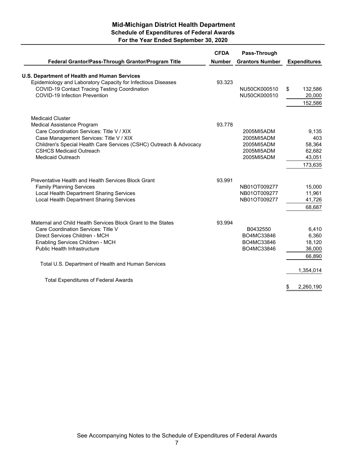## **Mid-Michigan District Health Department Schedule of Expenditures of Federal Awards For the Year Ended September 30, 2020**

| Federal Grantor/Pass-Through Grantor/Program Title                                                                                                                                                               | <b>CFDA</b><br><b>Number</b> | Pass-Through<br><b>Grantors Number</b>               | <b>Expenditures</b>                          |
|------------------------------------------------------------------------------------------------------------------------------------------------------------------------------------------------------------------|------------------------------|------------------------------------------------------|----------------------------------------------|
| U.S. Department of Health and Human Services<br>Epidemiology and Laboratory Capacity for Infectious Diseases<br>COVID-19 Contact Tracing Testing Coordination<br>COVID-19 Infection Prevention                   | 93.323                       | NU50CK000510<br>NU50CK000510                         | \$<br>132,586<br>20,000<br>152,586           |
| <b>Medicaid Cluster</b><br>Medical Assistance Program<br>Care Coordination Services: Title V / XIX                                                                                                               | 93.778                       | 2005MI5ADM                                           | 9,135                                        |
| Case Management Services: Title V / XIX<br>Children's Special Health Care Services (CSHC) Outreach & Advocacy<br><b>CSHCS Medicaid Outreach</b><br><b>Medicaid Outreach</b>                                      |                              | 2005MI5ADM<br>2005MI5ADM<br>2005MI5ADM<br>2005MI5ADM | 403<br>58,364<br>62,682<br>43,051<br>173,635 |
| Preventative Health and Health Services Block Grant<br><b>Family Planning Services</b><br>Local Health Department Sharing Services<br>Local Health Department Sharing Services                                   | 93.991                       | NB01OT009277<br>NB01OT009277<br>NB01OT009277         | 15,000<br>11,961<br>41,726<br>68,687         |
| Maternal and Child Health Services Block Grant to the States<br>Care Coordination Services: Title V<br>Direct Services Children - MCH<br>Enabling Services Children - MCH<br><b>Public Health Infrastructure</b> | 93.994                       | B0432550<br>BO4MC33846<br>BO4MC33846<br>BO4MC33846   | 6,410<br>6,360<br>18,120<br>36,000<br>66,890 |
| Total U.S. Department of Health and Human Services                                                                                                                                                               |                              |                                                      | 1,354,014                                    |
| <b>Total Expenditures of Federal Awards</b>                                                                                                                                                                      |                              |                                                      | 2,260,190                                    |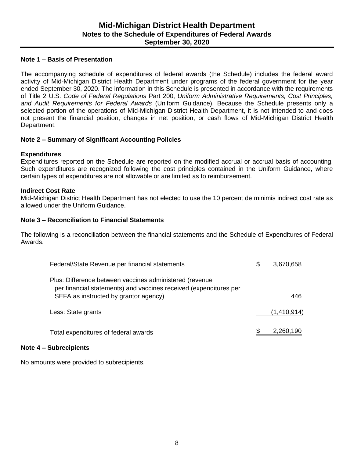#### **Note 1 – Basis of Presentation**

The accompanying schedule of expenditures of federal awards (the Schedule) includes the federal award activity of Mid-Michigan District Health Department under programs of the federal government for the year ended September 30, 2020. The information in this Schedule is presented in accordance with the requirements of Title 2 U.S. *Code of Federal Regulations* Part 200, *Uniform Administrative Requirements, Cost Principles, and Audit Requirements for Federal Awards* (Uniform Guidance). Because the Schedule presents only a selected portion of the operations of Mid-Michigan District Health Department, it is not intended to and does not present the financial position, changes in net position, or cash flows of Mid-Michigan District Health Department.

## **Note 2 – Summary of Significant Accounting Policies**

#### **Expenditures**

Expenditures reported on the Schedule are reported on the modified accrual or accrual basis of accounting. Such expenditures are recognized following the cost principles contained in the Uniform Guidance, where certain types of expenditures are not allowable or are limited as to reimbursement.

#### **Indirect Cost Rate**

Mid-Michigan District Health Department has not elected to use the 10 percent de minimis indirect cost rate as allowed under the Uniform Guidance.

#### **Note 3 – Reconciliation to Financial Statements**

The following is a reconciliation between the financial statements and the Schedule of Expenditures of Federal Awards.

| Federal/State Revenue per financial statements                                                                               | \$<br>3,670,658 |
|------------------------------------------------------------------------------------------------------------------------------|-----------------|
| Plus: Difference between vaccines administered (revenue<br>per financial statements) and vaccines received (expenditures per |                 |
| SEFA as instructed by grantor agency)                                                                                        | 446             |
| Less: State grants                                                                                                           | (1,410,914)     |
| Total expenditures of federal awards                                                                                         | 2,260,190       |

#### **Note 4 – Subrecipients**

No amounts were provided to subrecipients.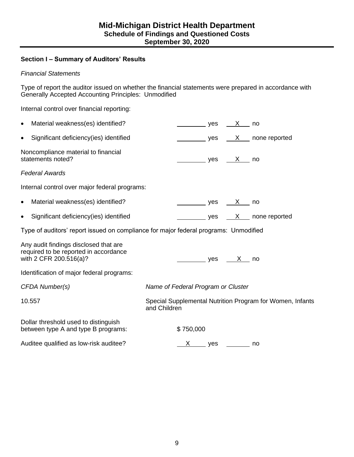## **Section I – Summary of Auditors' Results**

### *Financial Statements*

Type of report the auditor issued on whether the financial statements were prepared in accordance with Generally Accepted Accounting Principles: Unmodified

Internal control over financial reporting:

| $\bullet$                                                                            | Material weakness(es) identified?                                                                        |                                                                           | _________ yes ___ <u>X __</u> _ no                                                                                                                                                                                                                                                                                                                                                                                                            |  |  |                                                                                                                                                                                                                                                                                                                                                                                                                                   |
|--------------------------------------------------------------------------------------|----------------------------------------------------------------------------------------------------------|---------------------------------------------------------------------------|-----------------------------------------------------------------------------------------------------------------------------------------------------------------------------------------------------------------------------------------------------------------------------------------------------------------------------------------------------------------------------------------------------------------------------------------------|--|--|-----------------------------------------------------------------------------------------------------------------------------------------------------------------------------------------------------------------------------------------------------------------------------------------------------------------------------------------------------------------------------------------------------------------------------------|
| $\bullet$                                                                            | Significant deficiency(ies) identified                                                                   |                                                                           |                                                                                                                                                                                                                                                                                                                                                                                                                                               |  |  | yes X none reported                                                                                                                                                                                                                                                                                                                                                                                                               |
|                                                                                      | Noncompliance material to financial<br>statements noted?                                                 |                                                                           | ___________ yes ____ <u>X ___</u> no                                                                                                                                                                                                                                                                                                                                                                                                          |  |  |                                                                                                                                                                                                                                                                                                                                                                                                                                   |
|                                                                                      | <b>Federal Awards</b>                                                                                    |                                                                           |                                                                                                                                                                                                                                                                                                                                                                                                                                               |  |  |                                                                                                                                                                                                                                                                                                                                                                                                                                   |
| Internal control over major federal programs:                                        |                                                                                                          |                                                                           |                                                                                                                                                                                                                                                                                                                                                                                                                                               |  |  |                                                                                                                                                                                                                                                                                                                                                                                                                                   |
| $\bullet$                                                                            | Material weakness(es) identified?                                                                        |                                                                           | __________ yes ___ <u>X __</u> _ no                                                                                                                                                                                                                                                                                                                                                                                                           |  |  |                                                                                                                                                                                                                                                                                                                                                                                                                                   |
| $\bullet$                                                                            | Significant deficiency (ies) identified                                                                  |                                                                           |                                                                                                                                                                                                                                                                                                                                                                                                                                               |  |  | $\frac{1}{\sqrt{1-\frac{1}{\sqrt{1-\frac{1}{\sqrt{1-\frac{1}{\sqrt{1-\frac{1}{\sqrt{1-\frac{1}{\sqrt{1-\frac{1}{\sqrt{1-\frac{1}{\sqrt{1-\frac{1}{\sqrt{1-\frac{1}{\sqrt{1-\frac{1}{\sqrt{1-\frac{1}{\sqrt{1-\frac{1}{\sqrt{1-\frac{1}{\sqrt{1-\frac{1}{\sqrt{1-\frac{1}{\sqrt{1-\frac{1}{\sqrt{1-\frac{1}{\sqrt{1-\frac{1}{\sqrt{1-\frac{1}{\sqrt{1-\frac{1}{\sqrt{1-\frac{1}{\sqrt{1-\frac{1}{\sqrt{1-\frac{1}{\sqrt{1-\frac{1$ |
| Type of auditors' report issued on compliance for major federal programs: Unmodified |                                                                                                          |                                                                           |                                                                                                                                                                                                                                                                                                                                                                                                                                               |  |  |                                                                                                                                                                                                                                                                                                                                                                                                                                   |
|                                                                                      | Any audit findings disclosed that are<br>required to be reported in accordance<br>with 2 CFR 200.516(a)? |                                                                           | $\frac{1}{\sqrt{1-\frac{1}{2}}}\cos \frac{1}{\sqrt{1-\frac{1}{2}}}\cos \frac{1}{\sqrt{1-\frac{1}{2}}}\cos \frac{1}{\sqrt{1-\frac{1}{2}}}\cos \frac{1}{\sqrt{1-\frac{1}{2}}}\cos \frac{1}{\sqrt{1-\frac{1}{2}}}\cos \frac{1}{\sqrt{1-\frac{1}{2}}}\cos \frac{1}{\sqrt{1-\frac{1}{2}}}\cos \frac{1}{\sqrt{1-\frac{1}{2}}}\cos \frac{1}{\sqrt{1-\frac{1}{2}}}\cos \frac{1}{\sqrt{1-\frac{1}{2}}}\cos \frac{1}{\sqrt{1-\frac{1}{2}}}\cos \frac{1$ |  |  |                                                                                                                                                                                                                                                                                                                                                                                                                                   |
|                                                                                      | Identification of major federal programs:                                                                |                                                                           |                                                                                                                                                                                                                                                                                                                                                                                                                                               |  |  |                                                                                                                                                                                                                                                                                                                                                                                                                                   |
|                                                                                      | CFDA Number(s)<br>Name of Federal Program or Cluster                                                     |                                                                           |                                                                                                                                                                                                                                                                                                                                                                                                                                               |  |  |                                                                                                                                                                                                                                                                                                                                                                                                                                   |
|                                                                                      | 10.557                                                                                                   | Special Supplemental Nutrition Program for Women, Infants<br>and Children |                                                                                                                                                                                                                                                                                                                                                                                                                                               |  |  |                                                                                                                                                                                                                                                                                                                                                                                                                                   |
|                                                                                      | Dollar threshold used to distinguish<br>between type A and type B programs:                              |                                                                           | \$750,000                                                                                                                                                                                                                                                                                                                                                                                                                                     |  |  |                                                                                                                                                                                                                                                                                                                                                                                                                                   |
|                                                                                      | Auditee qualified as low-risk auditee?                                                                   |                                                                           | $X$ yes                                                                                                                                                                                                                                                                                                                                                                                                                                       |  |  | no                                                                                                                                                                                                                                                                                                                                                                                                                                |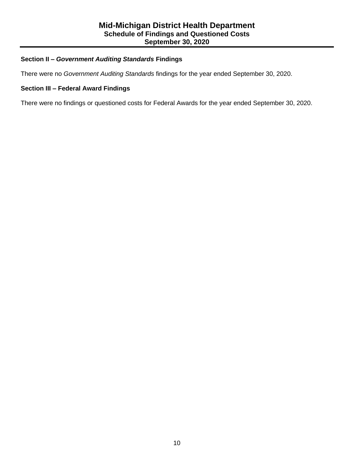## **Section II –** *Government Auditing Standards* **Findings**

There were no *Government Auditing Standards* findings for the year ended September 30, 2020.

## **Section III – Federal Award Findings**

There were no findings or questioned costs for Federal Awards for the year ended September 30, 2020.